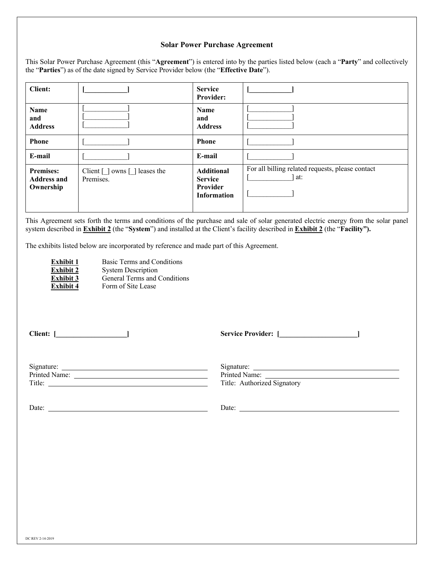#### **Solar Power Purchase Agreement**

| This Solar Power Purchase Agreement (this "Agreement") is entered into by the parties listed below (each a "Party" and collectively |  |  |  |
|-------------------------------------------------------------------------------------------------------------------------------------|--|--|--|
| the "Parties") as of the date signed by Service Provider below (the "Effective Date").                                              |  |  |  |

| <b>Client:</b>                                      |                                                   | <b>Service</b><br><b>Provider:</b>                                    |                                                         |
|-----------------------------------------------------|---------------------------------------------------|-----------------------------------------------------------------------|---------------------------------------------------------|
| <b>Name</b><br>and<br><b>Address</b>                |                                                   | <b>Name</b><br>and<br><b>Address</b>                                  |                                                         |
| <b>Phone</b>                                        |                                                   | <b>Phone</b>                                                          |                                                         |
| E-mail                                              |                                                   | E-mail                                                                |                                                         |
| <b>Premises:</b><br><b>Address and</b><br>Ownership | Client $\Box$ owns $\Box$ leases the<br>Premises. | <b>Additional</b><br><b>Service</b><br>Provider<br><b>Information</b> | For all billing related requests, please contact<br>at: |

This Agreement sets forth the terms and conditions of the purchase and sale of solar generated electric energy from the solar panel system described in **Exhibit 2** (the "**System**") and installed at the Client's facility described in **Exhibit 2** (the "**Facility").**

The exhibits listed below are incorporated by reference and made part of this Agreement.

| <b>Exhibit 1</b> | Basic Terms and Conditions   |
|------------------|------------------------------|
| <b>Exhibit 2</b> | <b>System Description</b>    |
| <b>Exhibit 3</b> | General Terms and Conditions |
| <b>Exhibit 4</b> | Form of Site Lease           |

**Client: [\_\_\_\_\_\_\_\_\_\_\_\_\_\_\_\_\_\_\_\_]**

**Service Provider: [\_\_\_\_\_\_\_\_\_\_\_\_\_\_\_\_\_\_\_\_\_\_]**

| Signature:    | Signature:                  |
|---------------|-----------------------------|
| Printed Name: | Printed Name:               |
| Title:        | Title: Authorized Signatory |
|               |                             |

Date:

Date: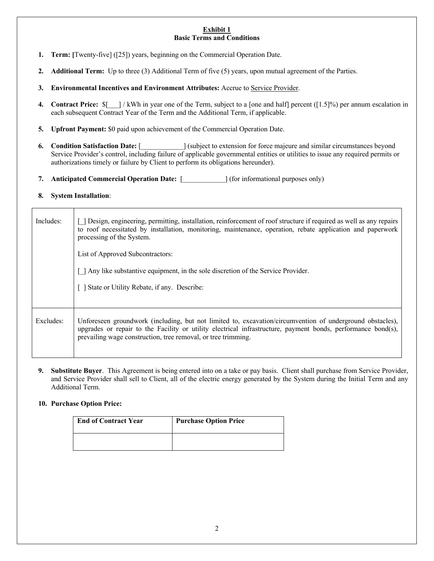#### **Exhibit 1 Basic Terms and Conditions**

- **1. Term: [**Twenty-five] ([25]) years, beginning on the Commercial Operation Date.
- **2. Additional Term:** Up to three (3) Additional Term of five (5) years, upon mutual agreement of the Parties.
- **3. Environmental Incentives and Environment Attributes:** Accrue to Service Provider.
- **4. Contract Price:**  $\frac{8}{7}$  / kWh in year one of the Term, subject to a [one and half] percent ([1.5]%) per annum escalation in each subsequent Contract Year of the Term and the Additional Term, if applicable.
- **5. Upfront Payment:** \$0 paid upon achievement of the Commercial Operation Date.
- **6. Condition Satisfaction Date:** [  $\qquad$  ] (subject to extension for force majeure and similar circumstances beyond Service Provider's control, including failure of applicable governmental entities or utilities to issue any required permits or authorizations timely or failure by Client to perform its obligations hereunder).
- **7. Anticipated Commercial Operation Date:** [\_\_\_\_\_\_\_\_\_\_\_\_] (for informational purposes only)

## **8. System Installation**:

| Includes: | Design, engineering, permitting, installation, reinforcement of roof structure if required as well as any repairs<br>to roof necessitated by installation, monitoring, maintenance, operation, rebate application and paperwork<br>processing of the System.                               |  |  |
|-----------|--------------------------------------------------------------------------------------------------------------------------------------------------------------------------------------------------------------------------------------------------------------------------------------------|--|--|
|           | List of Approved Subcontractors:                                                                                                                                                                                                                                                           |  |  |
|           | [ ] Any like substantive equipment, in the sole discretion of the Service Provider.                                                                                                                                                                                                        |  |  |
|           | [] State or Utility Rebate, if any. Describe:                                                                                                                                                                                                                                              |  |  |
|           |                                                                                                                                                                                                                                                                                            |  |  |
| Excludes: | Unforeseen groundwork (including, but not limited to, excavation/circumvention of underground obstacles),<br>upgrades or repair to the Facility or utility electrical infrastructure, payment bonds, performance bond(s),<br>prevailing wage construction, tree removal, or tree trimming. |  |  |

**9. Substitute Buyer**. This Agreement is being entered into on a take or pay basis. Client shall purchase from Service Provider, and Service Provider shall sell to Client, all of the electric energy generated by the System during the Initial Term and any Additional Term.

#### **10. Purchase Option Price:**

| <b>End of Contract Year</b> | <b>Purchase Option Price</b> |
|-----------------------------|------------------------------|
|                             |                              |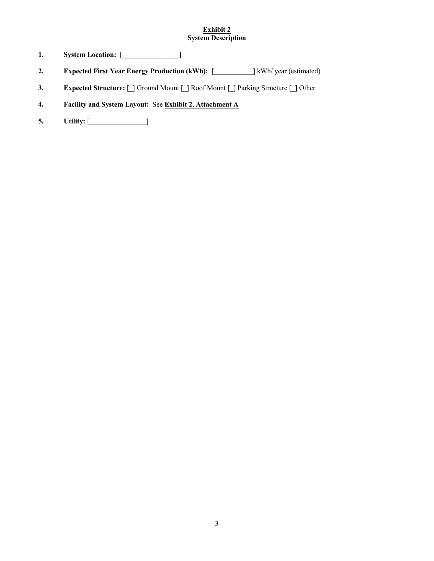#### **Exhibit 2 System Description**

- **1. System Location:** [\_\_\_\_\_\_\_\_\_\_\_\_\_\_\_\_]
- **2. Expected First Year Energy Production (kWh):** [\_\_\_\_\_\_\_\_\_\_\_] kWh/ year (estimated)
- **3. Expected Structure:** [\_] Ground Mount [\_] Roof Mount [\_] Parking Structure [\_] Other
- **4. Facility and System Layout:** See **Exhibit 2**, **Attachment A**
- **5. Utility:** [\_\_\_\_\_\_\_\_\_\_\_\_\_\_\_\_]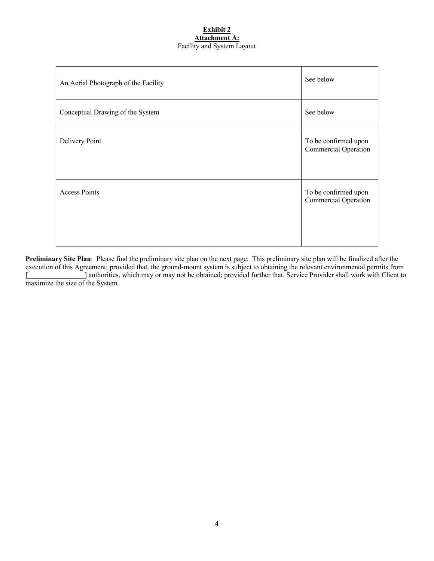#### **Exhibit 2 Attachment A:**  Facility and System Layout

| An Aerial Photograph of the Facility | See below                                    |
|--------------------------------------|----------------------------------------------|
| Conceptual Drawing of the System     | See below                                    |
| Delivery Point                       | To be confirmed upon<br>Commercial Operation |
| <b>Access Points</b>                 | To be confirmed upon<br>Commercial Operation |

**Preliminary Site Plan**: Please find the preliminary site plan on the next page. This preliminary site plan will be finalized after the execution of this Agreement; provided that, the ground-mount system is subject to obtaining the relevant environmental permits from [\_\_\_\_\_\_\_\_\_\_\_\_\_\_\_\_] authorities, which may or may not be obtained; provided further that, Service Provider shall work with Client to maximize the size of the System.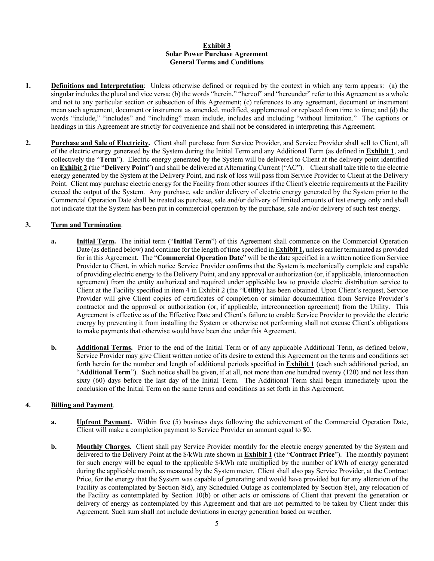#### **Exhibit 3 Solar Power Purchase Agreement General Terms and Conditions**

- **1. Definitions and Interpretation**: Unless otherwise defined or required by the context in which any term appears: (a) the singular includes the plural and vice versa; (b) the words "herein," "hereof" and "hereunder" refer to this Agreement as a whole and not to any particular section or subsection of this Agreement; (c) references to any agreement, document or instrument mean such agreement, document or instrument as amended, modified, supplemented or replaced from time to time; and (d) the words "include," "includes" and "including" mean include, includes and including "without limitation." The captions or headings in this Agreement are strictly for convenience and shall not be considered in interpreting this Agreement.
- **2. Purchase and Sale of Electricity.** Client shall purchase from Service Provider, and Service Provider shall sell to Client, all of the electric energy generated by the System during the Initial Term and any Additional Term (as defined in **Exhibit 1**, and collectively the "**Term**"). Electric energy generated by the System will be delivered to Client at the delivery point identified on **Exhibit 2** (the "**Delivery Point**") and shall be delivered at Alternating Current ("AC"). Client shall take title to the electric energy generated by the System at the Delivery Point, and risk of loss will pass from Service Provider to Client at the Delivery Point. Client may purchase electric energy for the Facility from other sources if the Client's electric requirements at the Facility exceed the output of the System. Any purchase, sale and/or delivery of electric energy generated by the System prior to the Commercial Operation Date shall be treated as purchase, sale and/or delivery of limited amounts of test energy only and shall not indicate that the System has been put in commercial operation by the purchase, sale and/or delivery of such test energy.

#### **3. Term and Termination**.

- **a. Initial Term.** The initial term ("**Initial Term**") of this Agreement shall commence on the Commercial Operation Date (as defined below) and continue for the length of time specified in **Exhibit 1,** unless earlier terminated as provided for in this Agreement. The "**Commercial Operation Date**" will be the date specified in a written notice from Service Provider to Client, in which notice Service Provider confirms that the System is mechanically complete and capable of providing electric energy to the Delivery Point, and any approval or authorization (or, if applicable, interconnection agreement) from the entity authorized and required under applicable law to provide electric distribution service to Client at the Facility specified in item 4 in Exhibit 2 (the "**Utility**) has been obtained. Upon Client's request, Service Provider will give Client copies of certificates of completion or similar documentation from Service Provider's contractor and the approval or authorization (or, if applicable, interconnection agreement) from the Utility. This Agreement is effective as of the Effective Date and Client's failure to enable Service Provider to provide the electric energy by preventing it from installing the System or otherwise not performing shall not excuse Client's obligations to make payments that otherwise would have been due under this Agreement.
- **b. Additional Terms.** Prior to the end of the Initial Term or of any applicable Additional Term, as defined below, Service Provider may give Client written notice of its desire to extend this Agreement on the terms and conditions set forth herein for the number and length of additional periods specified in **Exhibit 1** (each such additional period, an "**Additional Term**"). Such notice shall be given, if at all, not more than one hundred twenty (120) and not less than sixty (60) days before the last day of the Initial Term. The Additional Term shall begin immediately upon the conclusion of the Initial Term on the same terms and conditions as set forth in this Agreement.

#### **4. Billing and Payment**.

- **a. Upfront Payment.** Within five (5) business days following the achievement of the Commercial Operation Date, Client will make a completion payment to Service Provider an amount equal to \$0.
- **b. Monthly Charges.** Client shall pay Service Provider monthly for the electric energy generated by the System and delivered to the Delivery Point at the \$/kWh rate shown in **Exhibit 1** (the "**Contract Price**"). The monthly payment for such energy will be equal to the applicable \$/kWh rate multiplied by the number of kWh of energy generated during the applicable month, as measured by the System meter. Client shall also pay Service Provider, at the Contract Price, for the energy that the System was capable of generating and would have provided but for any alteration of the Facility as contemplated by Section 8(d), any Scheduled Outage as contemplated by Section 8(e), any relocation of the Facility as contemplated by Section 10(b) or other acts or omissions of Client that prevent the generation or delivery of energy as contemplated by this Agreement and that are not permitted to be taken by Client under this Agreement. Such sum shall not include deviations in energy generation based on weather.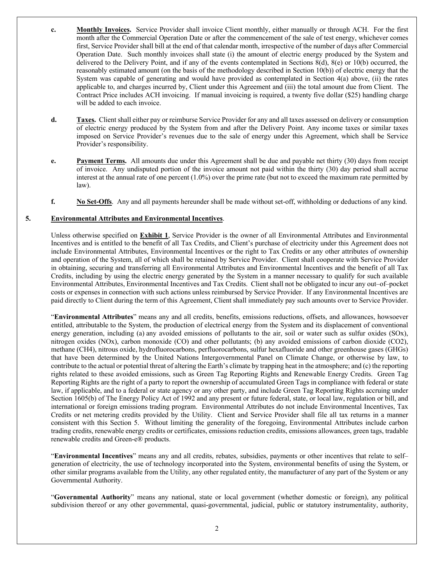- **c. Monthly Invoices.** Service Provider shall invoice Client monthly, either manually or through ACH. For the first month after the Commercial Operation Date or after the commencement of the sale of test energy, whichever comes first, Service Provider shall bill at the end of that calendar month, irrespective of the number of days after Commercial Operation Date. Such monthly invoices shall state (i) the amount of electric energy produced by the System and delivered to the Delivery Point, and if any of the events contemplated in Sections 8(d), 8(e) or 10(b) occurred, the reasonably estimated amount (on the basis of the methodology described in Section 10(b)) of electric energy that the System was capable of generating and would have provided as contemplated in Section 4(a) above, (ii) the rates applicable to, and charges incurred by, Client under this Agreement and (iii) the total amount due from Client. The Contract Price includes ACH invoicing. If manual invoicing is required, a twenty five dollar (\$25) handling charge will be added to each invoice.
- **d. Taxes.** Client shall either pay or reimburse Service Provider for any and all taxes assessed on delivery or consumption of electric energy produced by the System from and after the Delivery Point. Any income taxes or similar taxes imposed on Service Provider's revenues due to the sale of energy under this Agreement, which shall be Service Provider's responsibility.
- **e. Payment Terms.** All amounts due under this Agreement shall be due and payable net thirty (30) days from receipt of invoice. Any undisputed portion of the invoice amount not paid within the thirty (30) day period shall accrue interest at the annual rate of one percent (1.0%) over the prime rate (but not to exceed the maximum rate permitted by law).
- **f. No Set-Offs**. Any and all payments hereunder shall be made without set-off, withholding or deductions of any kind.

#### **5. Environmental Attributes and Environmental Incentives**.

Unless otherwise specified on **Exhibit 1**, Service Provider is the owner of all Environmental Attributes and Environmental Incentives and is entitled to the benefit of all Tax Credits, and Client's purchase of electricity under this Agreement does not include Environmental Attributes, Environmental Incentives or the right to Tax Credits or any other attributes of ownership and operation of the System, all of which shall be retained by Service Provider. Client shall cooperate with Service Provider in obtaining, securing and transferring all Environmental Attributes and Environmental Incentives and the benefit of all Tax Credits, including by using the electric energy generated by the System in a manner necessary to qualify for such available Environmental Attributes, Environmental Incentives and Tax Credits. Client shall not be obligated to incur any out–of–pocket costs or expenses in connection with such actions unless reimbursed by Service Provider. If any Environmental Incentives are paid directly to Client during the term of this Agreement, Client shall immediately pay such amounts over to Service Provider.

"**Environmental Attributes**" means any and all credits, benefits, emissions reductions, offsets, and allowances, howsoever entitled, attributable to the System, the production of electrical energy from the System and its displacement of conventional energy generation, including (a) any avoided emissions of pollutants to the air, soil or water such as sulfur oxides (SOx), nitrogen oxides (NOx), carbon monoxide (CO) and other pollutants; (b) any avoided emissions of carbon dioxide (CO2), methane (CH4), nitrous oxide, hydrofluorocarbons, perfluorocarbons, sulfur hexafluoride and other greenhouse gases (GHGs) that have been determined by the United Nations Intergovernmental Panel on Climate Change, or otherwise by law, to contribute to the actual or potential threat of altering the Earth's climate by trapping heat in the atmosphere; and (c) the reporting rights related to these avoided emissions, such as Green Tag Reporting Rights and Renewable Energy Credits. Green Tag Reporting Rights are the right of a party to report the ownership of accumulated Green Tags in compliance with federal or state law, if applicable, and to a federal or state agency or any other party, and include Green Tag Reporting Rights accruing under Section 1605(b) of The Energy Policy Act of 1992 and any present or future federal, state, or local law, regulation or bill, and international or foreign emissions trading program. Environmental Attributes do not include Environmental Incentives, Tax Credits or net metering credits provided by the Utility. Client and Service Provider shall file all tax returns in a manner consistent with this Section 5. Without limiting the generality of the foregoing, Environmental Attributes include carbon trading credits, renewable energy credits or certificates, emissions reduction credits, emissions allowances, green tags, tradable renewable credits and Green-e® products.

"**Environmental Incentives**" means any and all credits, rebates, subsidies, payments or other incentives that relate to self– generation of electricity, the use of technology incorporated into the System, environmental benefits of using the System, or other similar programs available from the Utility, any other regulated entity, the manufacturer of any part of the System or any Governmental Authority.

"**Governmental Authority**" means any national, state or local government (whether domestic or foreign), any political subdivision thereof or any other governmental, quasi-governmental, judicial, public or statutory instrumentality, authority,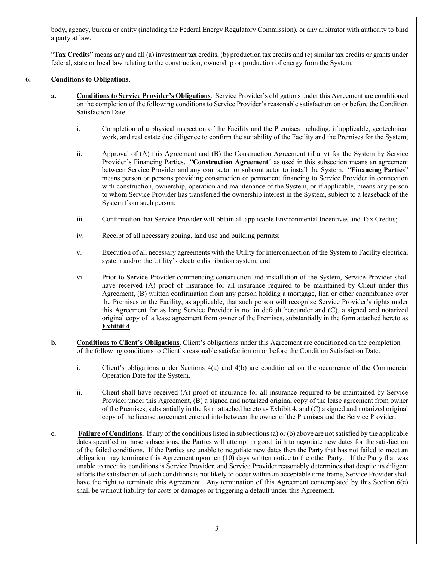body, agency, bureau or entity (including the Federal Energy Regulatory Commission), or any arbitrator with authority to bind a party at law.

"**Tax Credits**" means any and all (a) investment tax credits, (b) production tax credits and (c) similar tax credits or grants under federal, state or local law relating to the construction, ownership or production of energy from the System.

#### **6. Conditions to Obligations**.

- **a. Conditions to Service Provider's Obligations**. Service Provider's obligations under this Agreement are conditioned on the completion of the following conditions to Service Provider's reasonable satisfaction on or before the Condition Satisfaction Date:
	- i. Completion of a physical inspection of the Facility and the Premises including, if applicable, geotechnical work, and real estate due diligence to confirm the suitability of the Facility and the Premises for the System;
	- ii. Approval of (A) this Agreement and (B) the Construction Agreement (if any) for the System by Service Provider's Financing Parties. "**Construction Agreement**" as used in this subsection means an agreement between Service Provider and any contractor or subcontractor to install the System. "**Financing Parties**" means person or persons providing construction or permanent financing to Service Provider in connection with construction, ownership, operation and maintenance of the System, or if applicable, means any person to whom Service Provider has transferred the ownership interest in the System, subject to a leaseback of the System from such person;
	- iii. Confirmation that Service Provider will obtain all applicable Environmental Incentives and Tax Credits;
	- iv. Receipt of all necessary zoning, land use and building permits;
	- v. Execution of all necessary agreements with the Utility for interconnection of the System to Facility electrical system and/or the Utility's electric distribution system; and
	- vi. Prior to Service Provider commencing construction and installation of the System, Service Provider shall have received (A) proof of insurance for all insurance required to be maintained by Client under this Agreement, (B) written confirmation from any person holding a mortgage, lien or other encumbrance over the Premises or the Facility, as applicable, that such person will recognize Service Provider's rights under this Agreement for as long Service Provider is not in default hereunder and (C), a signed and notarized original copy of a lease agreement from owner of the Premises, substantially in the form attached hereto as **Exhibit 4**.
- **b. Conditions to Client's Obligations**. Client's obligations under this Agreement are conditioned on the completion of the following conditions to Client's reasonable satisfaction on or before the Condition Satisfaction Date:
	- i. Client's obligations under Sections  $4(a)$  and  $4(b)$  are conditioned on the occurrence of the Commercial Operation Date for the System.
	- ii. Client shall have received (A) proof of insurance for all insurance required to be maintained by Service Provider under this Agreement, (B) a signed and notarized original copy of the lease agreement from owner of the Premises, substantially in the form attached hereto as Exhibit 4, and (C) a signed and notarized original copy of the license agreement entered into between the owner of the Premises and the Service Provider.
- **c. Failure of Conditions.** If any of the conditions listed in subsections (a) or (b) above are not satisfied by the applicable dates specified in those subsections, the Parties will attempt in good faith to negotiate new dates for the satisfaction of the failed conditions. If the Parties are unable to negotiate new dates then the Party that has not failed to meet an obligation may terminate this Agreement upon ten (10) days written notice to the other Party. If the Party that was unable to meet its conditions is Service Provider, and Service Provider reasonably determines that despite its diligent efforts the satisfaction of such conditions is not likely to occur within an acceptable time frame, Service Provider shall have the right to terminate this Agreement. Any termination of this Agreement contemplated by this Section 6(c) shall be without liability for costs or damages or triggering a default under this Agreement.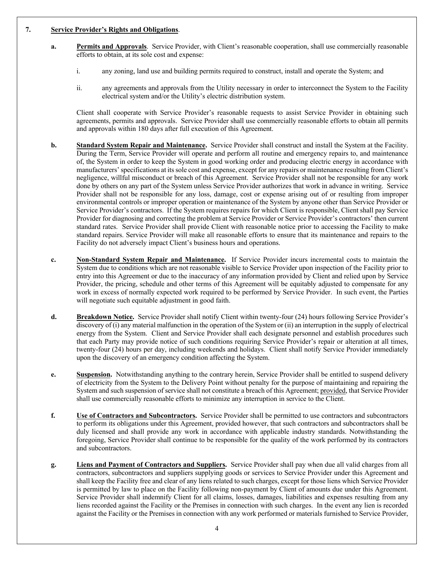#### **7. Service Provider's Rights and Obligations**.

- **a. Permits and Approvals**. Service Provider, with Client's reasonable cooperation, shall use commercially reasonable efforts to obtain, at its sole cost and expense:
	- i. any zoning, land use and building permits required to construct, install and operate the System; and
	- ii. any agreements and approvals from the Utility necessary in order to interconnect the System to the Facility electrical system and/or the Utility's electric distribution system.

Client shall cooperate with Service Provider's reasonable requests to assist Service Provider in obtaining such agreements, permits and approvals. Service Provider shall use commercially reasonable efforts to obtain all permits and approvals within 180 days after full execution of this Agreement.

- **b. Standard System Repair and Maintenance.** Service Provider shall construct and install the System at the Facility. During the Term, Service Provider will operate and perform all routine and emergency repairs to, and maintenance of, the System in order to keep the System in good working order and producing electric energy in accordance with manufacturers' specifications at its sole cost and expense, except for any repairs or maintenance resulting from Client's negligence, willful misconduct or breach of this Agreement. Service Provider shall not be responsible for any work done by others on any part of the System unless Service Provider authorizes that work in advance in writing. Service Provider shall not be responsible for any loss, damage, cost or expense arising out of or resulting from improper environmental controls or improper operation or maintenance of the System by anyone other than Service Provider or Service Provider's contractors. If the System requires repairs for which Client is responsible, Client shall pay Service Provider for diagnosing and correcting the problem at Service Provider or Service Provider's contractors' then current standard rates. Service Provider shall provide Client with reasonable notice prior to accessing the Facility to make standard repairs. Service Provider will make all reasonable efforts to ensure that its maintenance and repairs to the Facility do not adversely impact Client's business hours and operations.
- **c. Non-Standard System Repair and Maintenance.** If Service Provider incurs incremental costs to maintain the System due to conditions which are not reasonable visible to Service Provider upon inspection of the Facility prior to entry into this Agreement or due to the inaccuracy of any information provided by Client and relied upon by Service Provider, the pricing, schedule and other terms of this Agreement will be equitably adjusted to compensate for any work in excess of normally expected work required to be performed by Service Provider. In such event, the Parties will negotiate such equitable adjustment in good faith.
- **d. Breakdown Notice.** Service Provider shall notify Client within twenty-four (24) hours following Service Provider's discovery of (i) any material malfunction in the operation of the System or (ii) an interruption in the supply of electrical energy from the System. Client and Service Provider shall each designate personnel and establish procedures such that each Party may provide notice of such conditions requiring Service Provider's repair or alteration at all times, twenty-four (24) hours per day, including weekends and holidays. Client shall notify Service Provider immediately upon the discovery of an emergency condition affecting the System.
- **e. Suspension.** Notwithstanding anything to the contrary herein, Service Provider shall be entitled to suspend delivery of electricity from the System to the Delivery Point without penalty for the purpose of maintaining and repairing the System and such suspension of service shall not constitute a breach of this Agreement; provided, that Service Provider shall use commercially reasonable efforts to minimize any interruption in service to the Client.
- **f. Use of Contractors and Subcontractors.** Service Provider shall be permitted to use contractors and subcontractors to perform its obligations under this Agreement, provided however, that such contractors and subcontractors shall be duly licensed and shall provide any work in accordance with applicable industry standards. Notwithstanding the foregoing, Service Provider shall continue to be responsible for the quality of the work performed by its contractors and subcontractors.
- **g. Liens and Payment of Contractors and Suppliers.** Service Provider shall pay when due all valid charges from all contractors, subcontractors and suppliers supplying goods or services to Service Provider under this Agreement and shall keep the Facility free and clear of any liens related to such charges, except for those liens which Service Provider is permitted by law to place on the Facility following non-payment by Client of amounts due under this Agreement. Service Provider shall indemnify Client for all claims, losses, damages, liabilities and expenses resulting from any liens recorded against the Facility or the Premises in connection with such charges. In the event any lien is recorded against the Facility or the Premises in connection with any work performed or materials furnished to Service Provider,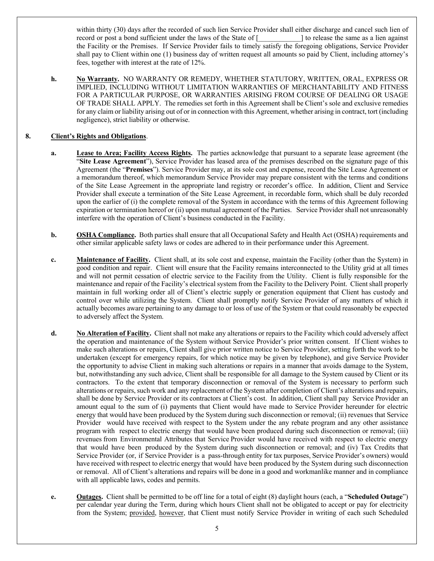within thirty (30) days after the recorded of such lien Service Provider shall either discharge and cancel such lien of record or post a bond sufficient under the laws of the State of [electron cases the same as a lien against the Facility or the Premises. If Service Provider fails to timely satisfy the foregoing obligations, Service Provider shall pay to Client within one (1) business day of written request all amounts so paid by Client, including attorney's fees, together with interest at the rate of 12%.

**h. No Warranty.** NO WARRANTY OR REMEDY, WHETHER STATUTORY, WRITTEN, ORAL, EXPRESS OR IMPLIED, INCLUDING WITHOUT LIMITATION WARRANTIES OF MERCHANTABILITY AND FITNESS FOR A PARTICULAR PURPOSE, OR WARRANTIES ARISING FROM COURSE OF DEALING OR USAGE OF TRADE SHALL APPLY. The remedies set forth in this Agreement shall be Client's sole and exclusive remedies for any claim or liability arising out of or in connection with this Agreement, whether arising in contract, tort (including negligence), strict liability or otherwise.

## **8. Client's Rights and Obligations**.

- **a. Lease to Area; Facility Access Rights.** The parties acknowledge that pursuant to a separate lease agreement (the "**Site Lease Agreement**"), Service Provider has leased area of the premises described on the signature page of this Agreement (the "**Premises**"). Service Provider may, at its sole cost and expense, record the Site Lease Agreement or a memorandum thereof, which memorandum Service Provider may prepare consistent with the terms and conditions of the Site Lease Agreement in the appropriate land registry or recorder's office. In addition, Client and Service Provider shall execute a termination of the Site Lease Agreement, in recordable form, which shall be duly recorded upon the earlier of (i) the complete removal of the System in accordance with the terms of this Agreement following expiration or termination hereof or (ii) upon mutual agreement of the Parties. Service Provider shall not unreasonably interfere with the operation of Client's business conducted in the Facility.
- **b. OSHA Compliance.** Both parties shall ensure that all Occupational Safety and Health Act (OSHA) requirements and other similar applicable safety laws or codes are adhered to in their performance under this Agreement.
- **c. Maintenance of Facility.** Client shall, at its sole cost and expense, maintain the Facility (other than the System) in good condition and repair. Client will ensure that the Facility remains interconnected to the Utility grid at all times and will not permit cessation of electric service to the Facility from the Utility. Client is fully responsible for the maintenance and repair of the Facility's electrical system from the Facility to the Delivery Point. Client shall properly maintain in full working order all of Client's electric supply or generation equipment that Client has custody and control over while utilizing the System. Client shall promptly notify Service Provider of any matters of which it actually becomes aware pertaining to any damage to or loss of use of the System or that could reasonably be expected to adversely affect the System.
- **d. No Alteration of Facility.** Client shall not make any alterations or repairs to the Facility which could adversely affect the operation and maintenance of the System without Service Provider's prior written consent. If Client wishes to make such alterations or repairs, Client shall give prior written notice to Service Provider, setting forth the work to be undertaken (except for emergency repairs, for which notice may be given by telephone), and give Service Provider the opportunity to advise Client in making such alterations or repairs in a manner that avoids damage to the System, but, notwithstanding any such advice, Client shall be responsible for all damage to the System caused by Client or its contractors. To the extent that temporary disconnection or removal of the System is necessary to perform such alterations or repairs, such work and any replacement of the System after completion of Client's alterations and repairs, shall be done by Service Provider or its contractors at Client's cost. In addition, Client shall pay Service Provider an amount equal to the sum of (i) payments that Client would have made to Service Provider hereunder for electric energy that would have been produced by the System during such disconnection or removal; (ii) revenues that Service Provider would have received with respect to the System under the any rebate program and any other assistance program with respect to electric energy that would have been produced during such disconnection or removal; (iii) revenues from Environmental Attributes that Service Provider would have received with respect to electric energy that would have been produced by the System during such disconnection or removal; and (iv) Tax Credits that Service Provider (or, if Service Provider is a pass-through entity for tax purposes, Service Provider's owners) would have received with respect to electric energy that would have been produced by the System during such disconnection or removal. All of Client's alterations and repairs will be done in a good and workmanlike manner and in compliance with all applicable laws, codes and permits.
- **e. Outages.** Client shall be permitted to be off line for a total of eight (8) daylight hours (each, a "**Scheduled Outage**") per calendar year during the Term, during which hours Client shall not be obligated to accept or pay for electricity from the System; provided, however, that Client must notify Service Provider in writing of each such Scheduled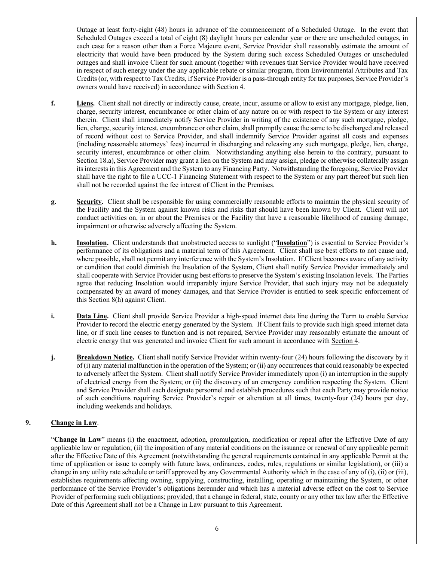Outage at least forty-eight (48) hours in advance of the commencement of a Scheduled Outage. In the event that Scheduled Outages exceed a total of eight (8) daylight hours per calendar year or there are unscheduled outages, in each case for a reason other than a Force Majeure event, Service Provider shall reasonably estimate the amount of electricity that would have been produced by the System during such excess Scheduled Outages or unscheduled outages and shall invoice Client for such amount (together with revenues that Service Provider would have received in respect of such energy under the any applicable rebate or similar program, from Environmental Attributes and Tax Credits (or, with respect to Tax Credits, if Service Provider is a pass-through entity for tax purposes, Service Provider's owners would have received) in accordance with Section 4.

- **f. Liens.** Client shall not directly or indirectly cause, create, incur, assume or allow to exist any mortgage, pledge, lien, charge, security interest, encumbrance or other claim of any nature on or with respect to the System or any interest therein. Client shall immediately notify Service Provider in writing of the existence of any such mortgage, pledge, lien, charge, security interest, encumbrance or other claim, shall promptly cause the same to be discharged and released of record without cost to Service Provider, and shall indemnify Service Provider against all costs and expenses (including reasonable attorneys' fees) incurred in discharging and releasing any such mortgage, pledge, lien, charge, security interest, encumbrance or other claim. Notwithstanding anything else herein to the contrary, pursuant to Section 18.a), Service Provider may grant a lien on the System and may assign, pledge or otherwise collaterally assign its interests in this Agreement and the System to any Financing Party. Notwithstanding the foregoing, Service Provider shall have the right to file a UCC-1 Financing Statement with respect to the System or any part thereof but such lien shall not be recorded against the fee interest of Client in the Premises.
- **g. Security.** Client shall be responsible for using commercially reasonable efforts to maintain the physical security of the Facility and the System against known risks and risks that should have been known by Client. Client will not conduct activities on, in or about the Premises or the Facility that have a reasonable likelihood of causing damage, impairment or otherwise adversely affecting the System.
- **h. Insolation.** Client understands that unobstructed access to sunlight ("**Insolation**") is essential to Service Provider's performance of its obligations and a material term of this Agreement. Client shall use best efforts to not cause and, where possible, shall not permit any interference with the System's Insolation. If Client becomes aware of any activity or condition that could diminish the Insolation of the System, Client shall notify Service Provider immediately and shall cooperate with Service Provider using best efforts to preserve the System's existing Insolation levels. The Parties agree that reducing Insolation would irreparably injure Service Provider, that such injury may not be adequately compensated by an award of money damages, and that Service Provider is entitled to seek specific enforcement of this Section 8(h) against Client.
- **i. Data Line.** Client shall provide Service Provider a high-speed internet data line during the Term to enable Service Provider to record the electric energy generated by the System. If Client fails to provide such high speed internet data line, or if such line ceases to function and is not repaired, Service Provider may reasonably estimate the amount of electric energy that was generated and invoice Client for such amount in accordance with Section 4.
- **j. Breakdown Notice.** Client shall notify Service Provider within twenty-four (24) hours following the discovery by it of (i) any material malfunction in the operation of the System; or (ii) any occurrences that could reasonably be expected to adversely affect the System. Client shall notify Service Provider immediately upon (i) an interruption in the supply of electrical energy from the System; or (ii) the discovery of an emergency condition respecting the System. Client and Service Provider shall each designate personnel and establish procedures such that each Party may provide notice of such conditions requiring Service Provider's repair or alteration at all times, twenty-four (24) hours per day, including weekends and holidays.

## **9. Change in Law**.

"**Change in Law**" means (i) the enactment, adoption, promulgation, modification or repeal after the Effective Date of any applicable law or regulation; (ii) the imposition of any material conditions on the issuance or renewal of any applicable permit after the Effective Date of this Agreement (notwithstanding the general requirements contained in any applicable Permit at the time of application or issue to comply with future laws, ordinances, codes, rules, regulations or similar legislation), or (iii) a change in any utility rate schedule or tariff approved by any Governmental Authority which in the case of any of (i), (ii) or (iii), establishes requirements affecting owning, supplying, constructing, installing, operating or maintaining the System, or other performance of the Service Provider's obligations hereunder and which has a material adverse effect on the cost to Service Provider of performing such obligations; provided, that a change in federal, state, county or any other tax law after the Effective Date of this Agreement shall not be a Change in Law pursuant to this Agreement.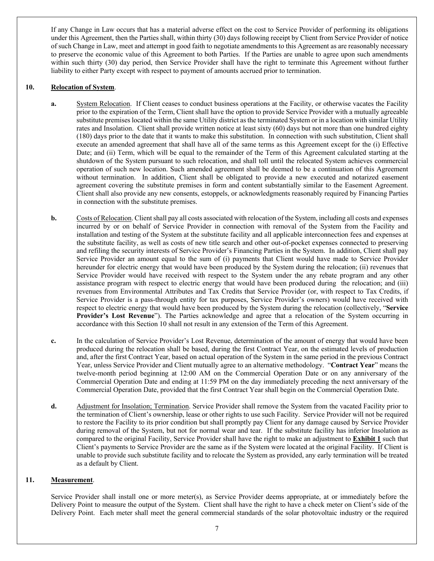If any Change in Law occurs that has a material adverse effect on the cost to Service Provider of performing its obligations under this Agreement, then the Parties shall, within thirty (30) days following receipt by Client from Service Provider of notice of such Change in Law, meet and attempt in good faith to negotiate amendments to this Agreement as are reasonably necessary to preserve the economic value of this Agreement to both Parties. If the Parties are unable to agree upon such amendments within such thirty (30) day period, then Service Provider shall have the right to terminate this Agreement without further liability to either Party except with respect to payment of amounts accrued prior to termination.

#### **10. Relocation of System**.

- **a.** System Relocation. If Client ceases to conduct business operations at the Facility, or otherwise vacates the Facility prior to the expiration of the Term, Client shall have the option to provide Service Provider with a mutually agreeable substitute premises located within the same Utility district as the terminated System or in a location with similar Utility rates and Insolation. Client shall provide written notice at least sixty (60) days but not more than one hundred eighty (180) days prior to the date that it wants to make this substitution. In connection with such substitution, Client shall execute an amended agreement that shall have all of the same terms as this Agreement except for the (i) Effective Date; and (ii) Term, which will be equal to the remainder of the Term of this Agreement calculated starting at the shutdown of the System pursuant to such relocation, and shall toll until the relocated System achieves commercial operation of such new location. Such amended agreement shall be deemed to be a continuation of this Agreement without termination. In addition, Client shall be obligated to provide a new executed and notarized easement agreement covering the substitute premises in form and content substantially similar to the Easement Agreement. Client shall also provide any new consents, estoppels, or acknowledgments reasonably required by Financing Parties in connection with the substitute premises.
- **b.** Costs of Relocation. Client shall pay all costs associated with relocation of the System, including all costs and expenses incurred by or on behalf of Service Provider in connection with removal of the System from the Facility and installation and testing of the System at the substitute facility and all applicable interconnection fees and expenses at the substitute facility, as well as costs of new title search and other out-of-pocket expenses connected to preserving and refiling the security interests of Service Provider's Financing Parties in the System. In addition, Client shall pay Service Provider an amount equal to the sum of (i) payments that Client would have made to Service Provider hereunder for electric energy that would have been produced by the System during the relocation; (ii) revenues that Service Provider would have received with respect to the System under the any rebate program and any other assistance program with respect to electric energy that would have been produced during the relocation; and (iii) revenues from Environmental Attributes and Tax Credits that Service Provider (or, with respect to Tax Credits, if Service Provider is a pass-through entity for tax purposes, Service Provider's owners) would have received with respect to electric energy that would have been produced by the System during the relocation (collectively, "**Service Provider's Lost Revenue**"). The Parties acknowledge and agree that a relocation of the System occurring in accordance with this Section 10 shall not result in any extension of the Term of this Agreement.
- **c.** In the calculation of Service Provider's Lost Revenue, determination of the amount of energy that would have been produced during the relocation shall be based, during the first Contract Year, on the estimated levels of production and, after the first Contract Year, based on actual operation of the System in the same period in the previous Contract Year, unless Service Provider and Client mutually agree to an alternative methodology. "**Contract Year**" means the twelve-month period beginning at 12:00 AM on the Commercial Operation Date or on any anniversary of the Commercial Operation Date and ending at 11:59 PM on the day immediately preceding the next anniversary of the Commercial Operation Date, provided that the first Contract Year shall begin on the Commercial Operation Date.
- **d.** Adjustment for Insolation; Termination. Service Provider shall remove the System from the vacated Facility prior to the termination of Client's ownership, lease or other rights to use such Facility. Service Provider will not be required to restore the Facility to its prior condition but shall promptly pay Client for any damage caused by Service Provider during removal of the System, but not for normal wear and tear. If the substitute facility has inferior Insolation as compared to the original Facility, Service Provider shall have the right to make an adjustment to **Exhibit 1** such that Client's payments to Service Provider are the same as if the System were located at the original Facility. If Client is unable to provide such substitute facility and to relocate the System as provided, any early termination will be treated as a default by Client.

#### **11. Measurement**.

Service Provider shall install one or more meter(s), as Service Provider deems appropriate, at or immediately before the Delivery Point to measure the output of the System. Client shall have the right to have a check meter on Client's side of the Delivery Point. Each meter shall meet the general commercial standards of the solar photovoltaic industry or the required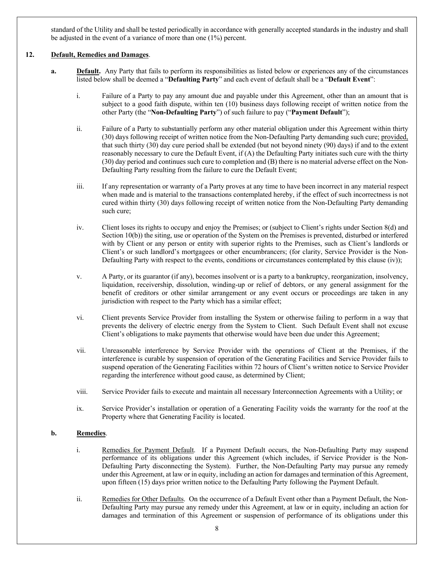standard of the Utility and shall be tested periodically in accordance with generally accepted standards in the industry and shall be adjusted in the event of a variance of more than one (1%) percent.

#### **12. Default, Remedies and Damages**.

- **a. Default.** Any Party that fails to perform its responsibilities as listed below or experiences any of the circumstances listed below shall be deemed a "**Defaulting Party**" and each event of default shall be a "**Default Event**":
	- i. Failure of a Party to pay any amount due and payable under this Agreement, other than an amount that is subject to a good faith dispute, within ten (10) business days following receipt of written notice from the other Party (the "**Non-Defaulting Party**") of such failure to pay ("**Payment Default**");
	- ii. Failure of a Party to substantially perform any other material obligation under this Agreement within thirty (30) days following receipt of written notice from the Non-Defaulting Party demanding such cure; provided, that such thirty (30) day cure period shall be extended (but not beyond ninety (90) days) if and to the extent reasonably necessary to cure the Default Event, if (A) the Defaulting Party initiates such cure with the thirty (30) day period and continues such cure to completion and (B) there is no material adverse effect on the Non-Defaulting Party resulting from the failure to cure the Default Event;
	- iii. If any representation or warranty of a Party proves at any time to have been incorrect in any material respect when made and is material to the transactions contemplated hereby, if the effect of such incorrectness is not cured within thirty (30) days following receipt of written notice from the Non-Defaulting Party demanding such cure;
	- iv. Client loses its rights to occupy and enjoy the Premises; or (subject to Client's rights under Section 8(d) and Section 10(b)) the siting, use or operation of the System on the Premises is prevented, disturbed or interfered with by Client or any person or entity with superior rights to the Premises, such as Client's landlords or Client's or such landlord's mortgagees or other encumbrancers; (for clarity, Service Provider is the Non-Defaulting Party with respect to the events, conditions or circumstances contemplated by this clause (iv));
	- v. A Party, or its guarantor (if any), becomes insolvent or is a party to a bankruptcy, reorganization, insolvency, liquidation, receivership, dissolution, winding-up or relief of debtors, or any general assignment for the benefit of creditors or other similar arrangement or any event occurs or proceedings are taken in any jurisdiction with respect to the Party which has a similar effect;
	- vi. Client prevents Service Provider from installing the System or otherwise failing to perform in a way that prevents the delivery of electric energy from the System to Client. Such Default Event shall not excuse Client's obligations to make payments that otherwise would have been due under this Agreement;
	- vii. Unreasonable interference by Service Provider with the operations of Client at the Premises, if the interference is curable by suspension of operation of the Generating Facilities and Service Provider fails to suspend operation of the Generating Facilities within 72 hours of Client's written notice to Service Provider regarding the interference without good cause, as determined by Client;
	- viii. Service Provider fails to execute and maintain all necessary Interconnection Agreements with a Utility; or
	- ix. Service Provider's installation or operation of a Generating Facility voids the warranty for the roof at the Property where that Generating Facility is located.

## **b. Remedies**.

- i. Remedies for Payment Default. If a Payment Default occurs, the Non-Defaulting Party may suspend performance of its obligations under this Agreement (which includes, if Service Provider is the Non-Defaulting Party disconnecting the System). Further, the Non-Defaulting Party may pursue any remedy under this Agreement, at law or in equity, including an action for damages and termination of this Agreement, upon fifteen (15) days prior written notice to the Defaulting Party following the Payment Default.
- ii. Remedies for Other Defaults. On the occurrence of a Default Event other than a Payment Default, the Non-Defaulting Party may pursue any remedy under this Agreement, at law or in equity, including an action for damages and termination of this Agreement or suspension of performance of its obligations under this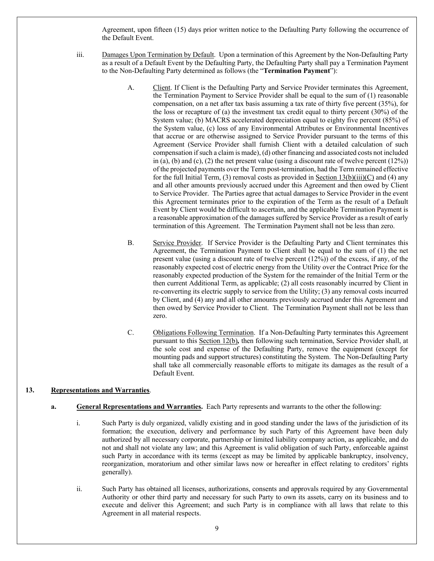Agreement, upon fifteen (15) days prior written notice to the Defaulting Party following the occurrence of the Default Event.

- iii. Damages Upon Termination by Default. Upon a termination of this Agreement by the Non-Defaulting Party as a result of a Default Event by the Defaulting Party, the Defaulting Party shall pay a Termination Payment to the Non-Defaulting Party determined as follows (the "**Termination Payment**"):
	- A. Client. If Client is the Defaulting Party and Service Provider terminates this Agreement, the Termination Payment to Service Provider shall be equal to the sum of (1) reasonable compensation, on a net after tax basis assuming a tax rate of thirty five percent (35%), for the loss or recapture of (a) the investment tax credit equal to thirty percent (30%) of the System value; (b) MACRS accelerated depreciation equal to eighty five percent (85%) of the System value, (c) loss of any Environmental Attributes or Environmental Incentives that accrue or are otherwise assigned to Service Provider pursuant to the terms of this Agreement (Service Provider shall furnish Client with a detailed calculation of such compensation if such a claim is made), (d) other financing and associated costs not included in (a), (b) and (c), (2) the net present value (using a discount rate of twelve percent  $(12%)$ ) of the projected payments over the Term post-termination, had the Term remained effective for the full Initial Term, (3) removal costs as provided in Section  $13(b)(iii)(C)$  and (4) any and all other amounts previously accrued under this Agreement and then owed by Client to Service Provider. The Parties agree that actual damages to Service Provider in the event this Agreement terminates prior to the expiration of the Term as the result of a Default Event by Client would be difficult to ascertain, and the applicable Termination Payment is a reasonable approximation of the damages suffered by Service Provider as a result of early termination of this Agreement. The Termination Payment shall not be less than zero.
	- B. Service Provider. If Service Provider is the Defaulting Party and Client terminates this Agreement, the Termination Payment to Client shall be equal to the sum of (1) the net present value (using a discount rate of twelve percent  $(12%)$ ) of the excess, if any, of the reasonably expected cost of electric energy from the Utility over the Contract Price for the reasonably expected production of the System for the remainder of the Initial Term or the then current Additional Term, as applicable; (2) all costs reasonably incurred by Client in re-converting its electric supply to service from the Utility; (3) any removal costs incurred by Client, and (4) any and all other amounts previously accrued under this Agreement and then owed by Service Provider to Client. The Termination Payment shall not be less than zero.
	- C. Obligations Following Termination. If a Non-Defaulting Party terminates this Agreement pursuant to this Section 12(b)*,* then following such termination, Service Provider shall, at the sole cost and expense of the Defaulting Party, remove the equipment (except for mounting pads and support structures) constituting the System. The Non-Defaulting Party shall take all commercially reasonable efforts to mitigate its damages as the result of a Default Event.

## **13. Representations and Warranties**.

## **a. General Representations and Warranties.** Each Party represents and warrants to the other the following:

- i. Such Party is duly organized, validly existing and in good standing under the laws of the jurisdiction of its formation; the execution, delivery and performance by such Party of this Agreement have been duly authorized by all necessary corporate, partnership or limited liability company action, as applicable, and do not and shall not violate any law; and this Agreement is valid obligation of such Party, enforceable against such Party in accordance with its terms (except as may be limited by applicable bankruptcy, insolvency, reorganization, moratorium and other similar laws now or hereafter in effect relating to creditors' rights generally).
- ii. Such Party has obtained all licenses, authorizations, consents and approvals required by any Governmental Authority or other third party and necessary for such Party to own its assets, carry on its business and to execute and deliver this Agreement; and such Party is in compliance with all laws that relate to this Agreement in all material respects.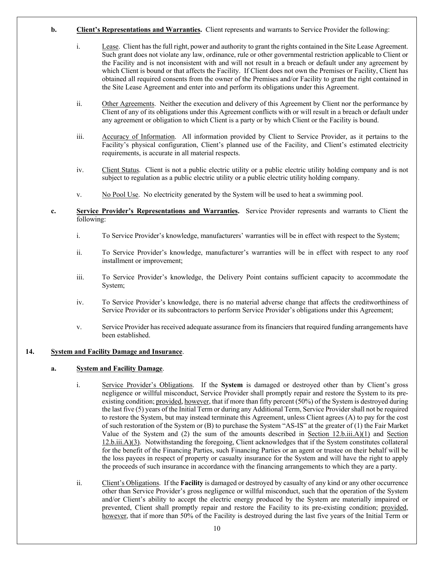- **b. Client's Representations and Warranties.** Client represents and warrants to Service Provider the following:
	- i. Lease. Client has the full right, power and authority to grant the rights contained in the Site Lease Agreement. Such grant does not violate any law, ordinance, rule or other governmental restriction applicable to Client or the Facility and is not inconsistent with and will not result in a breach or default under any agreement by which Client is bound or that affects the Facility. If Client does not own the Premises or Facility, Client has obtained all required consents from the owner of the Premises and/or Facility to grant the right contained in the Site Lease Agreement and enter into and perform its obligations under this Agreement.
	- ii. Other Agreements. Neither the execution and delivery of this Agreement by Client nor the performance by Client of any of its obligations under this Agreement conflicts with or will result in a breach or default under any agreement or obligation to which Client is a party or by which Client or the Facility is bound.
	- iii. Accuracy of Information. All information provided by Client to Service Provider, as it pertains to the Facility's physical configuration, Client's planned use of the Facility, and Client's estimated electricity requirements, is accurate in all material respects.
	- iv. Client Status. Client is not a public electric utility or a public electric utility holding company and is not subject to regulation as a public electric utility or a public electric utility holding company.
	- v. No Pool Use. No electricity generated by the System will be used to heat a swimming pool.
- **c. Service Provider's Representations and Warranties.** Service Provider represents and warrants to Client the following:
	- i. To Service Provider's knowledge, manufacturers' warranties will be in effect with respect to the System;
	- ii. To Service Provider's knowledge, manufacturer's warranties will be in effect with respect to any roof installment or improvement;
	- iii. To Service Provider's knowledge, the Delivery Point contains sufficient capacity to accommodate the System;
	- iv. To Service Provider's knowledge, there is no material adverse change that affects the creditworthiness of Service Provider or its subcontractors to perform Service Provider's obligations under this Agreement;
	- v. Service Provider has received adequate assurance from its financiers that required funding arrangements have been established.

#### **14. System and Facility Damage and Insurance**.

#### **a. System and Facility Damage**.

- i. Service Provider's Obligations. If the **System** is damaged or destroyed other than by Client's gross negligence or willful misconduct, Service Provider shall promptly repair and restore the System to its preexisting condition; provided, however, that if more than fifty percent (50%) of the System is destroyed during the last five (5) years of the Initial Term or during any Additional Term, Service Providershall not be required to restore the System, but may instead terminate this Agreement, unless Client agrees (A) to pay for the cost of such restoration of the System or (B) to purchase the System "AS-IS" at the greater of (1) the Fair Market Value of the System and (2) the sum of the amounts described in Section 12.b.iii.A)(1) and Section 12.b.iii.A)(3). Notwithstanding the foregoing, Client acknowledges that if the System constitutes collateral for the benefit of the Financing Parties, such Financing Parties or an agent or trustee on their behalf will be the loss payees in respect of property or casualty insurance for the System and will have the right to apply the proceeds of such insurance in accordance with the financing arrangements to which they are a party.
- ii. Client's Obligations. If the **Facility** is damaged or destroyed by casualty of any kind or any other occurrence other than Service Provider's gross negligence or willful misconduct, such that the operation of the System and/or Client's ability to accept the electric energy produced by the System are materially impaired or prevented, Client shall promptly repair and restore the Facility to its pre-existing condition; provided, however, that if more than 50% of the Facility is destroyed during the last five years of the Initial Term or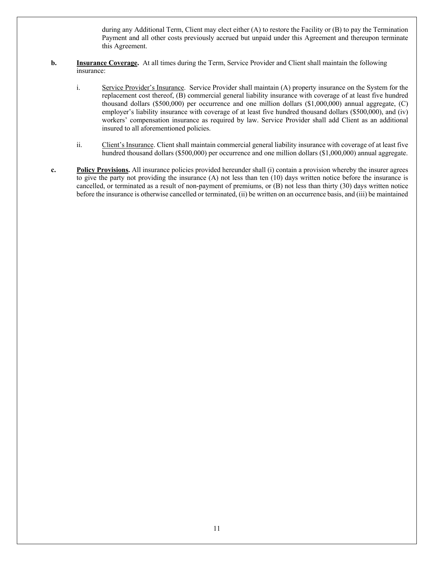during any Additional Term, Client may elect either (A) to restore the Facility or (B) to pay the Termination Payment and all other costs previously accrued but unpaid under this Agreement and thereupon terminate this Agreement.

- **b. Insurance Coverage.** At all times during the Term, Service Provider and Client shall maintain the following insurance:
	- i. Service Provider's Insurance. Service Provider shall maintain (A) property insurance on the System for the replacement cost thereof, (B) commercial general liability insurance with coverage of at least five hundred thousand dollars (\$500,000) per occurrence and one million dollars (\$1,000,000) annual aggregate, (C) employer's liability insurance with coverage of at least five hundred thousand dollars (\$500,000), and (iv) workers' compensation insurance as required by law. Service Provider shall add Client as an additional insured to all aforementioned policies.
	- ii. Client's Insurance. Client shall maintain commercial general liability insurance with coverage of at least five hundred thousand dollars (\$500,000) per occurrence and one million dollars (\$1,000,000) annual aggregate.
- **c. Policy Provisions.** All insurance policies provided hereunder shall (i) contain a provision whereby the insurer agrees to give the party not providing the insurance (A) not less than ten (10) days written notice before the insurance is cancelled, or terminated as a result of non-payment of premiums, or (B) not less than thirty (30) days written notice before the insurance is otherwise cancelled or terminated, (ii) be written on an occurrence basis, and (iii) be maintained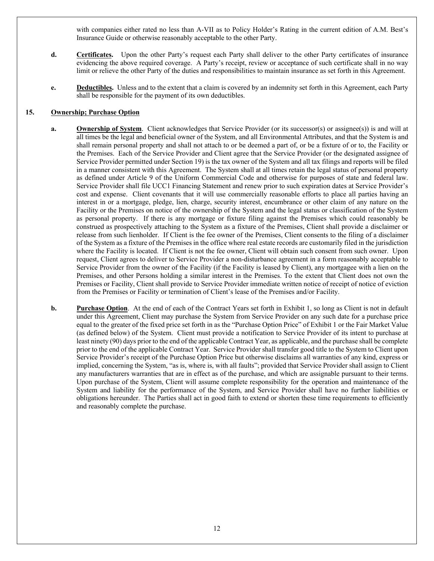with companies either rated no less than A-VII as to Policy Holder's Rating in the current edition of A.M. Best's Insurance Guide or otherwise reasonably acceptable to the other Party.

- **d. Certificates.** Upon the other Party's request each Party shall deliver to the other Party certificates of insurance evidencing the above required coverage. A Party's receipt, review or acceptance of such certificate shall in no way limit or relieve the other Party of the duties and responsibilities to maintain insurance as set forth in this Agreement.
- **e. Deductibles.** Unless and to the extent that a claim is covered by an indemnity set forth in this Agreement, each Party shall be responsible for the payment of its own deductibles.

#### **15. Ownership; Purchase Option**

- **a. Ownership of System**. Client acknowledges that Service Provider (or its successor(s) or assignee(s)) is and will at all times be the legal and beneficial owner of the System, and all Environmental Attributes, and that the System is and shall remain personal property and shall not attach to or be deemed a part of, or be a fixture of or to, the Facility or the Premises. Each of the Service Provider and Client agree that the Service Provider (or the designated assignee of Service Provider permitted under Section 19) is the tax owner of the System and all tax filings and reports will be filed in a manner consistent with this Agreement. The System shall at all times retain the legal status of personal property as defined under Article 9 of the Uniform Commercial Code and otherwise for purposes of state and federal law. Service Provider shall file UCC1 Financing Statement and renew prior to such expiration dates at Service Provider's cost and expense. Client covenants that it will use commercially reasonable efforts to place all parties having an interest in or a mortgage, pledge, lien, charge, security interest, encumbrance or other claim of any nature on the Facility or the Premises on notice of the ownership of the System and the legal status or classification of the System as personal property. If there is any mortgage or fixture filing against the Premises which could reasonably be construed as prospectively attaching to the System as a fixture of the Premises, Client shall provide a disclaimer or release from such lienholder. If Client is the fee owner of the Premises, Client consents to the filing of a disclaimer of the System as a fixture of the Premises in the office where real estate records are customarily filed in the jurisdiction where the Facility is located. If Client is not the fee owner, Client will obtain such consent from such owner. Upon request, Client agrees to deliver to Service Provider a non-disturbance agreement in a form reasonably acceptable to Service Provider from the owner of the Facility (if the Facility is leased by Client), any mortgagee with a lien on the Premises, and other Persons holding a similar interest in the Premises. To the extent that Client does not own the Premises or Facility, Client shall provide to Service Provider immediate written notice of receipt of notice of eviction from the Premises or Facility or termination of Client's lease of the Premises and/or Facility.
- **b. Purchase Option**. At the end of each of the Contract Years set forth in Exhibit 1, so long as Client is not in default under this Agreement, Client may purchase the System from Service Provider on any such date for a purchase price equal to the greater of the fixed price set forth in as the "Purchase Option Price" of Exhibit 1 or the Fair Market Value (as defined below) of the System. Client must provide a notification to Service Provider of its intent to purchase at least ninety (90) days prior to the end of the applicable Contract Year, as applicable, and the purchase shall be complete prior to the end of the applicable Contract Year. Service Provider shall transfer good title to the System to Client upon Service Provider's receipt of the Purchase Option Price but otherwise disclaims all warranties of any kind, express or implied, concerning the System, "as is, where is, with all faults"; provided that Service Provider shall assign to Client any manufacturers warranties that are in effect as of the purchase, and which are assignable pursuant to their terms. Upon purchase of the System, Client will assume complete responsibility for the operation and maintenance of the System and liability for the performance of the System, and Service Provider shall have no further liabilities or obligations hereunder. The Parties shall act in good faith to extend or shorten these time requirements to efficiently and reasonably complete the purchase.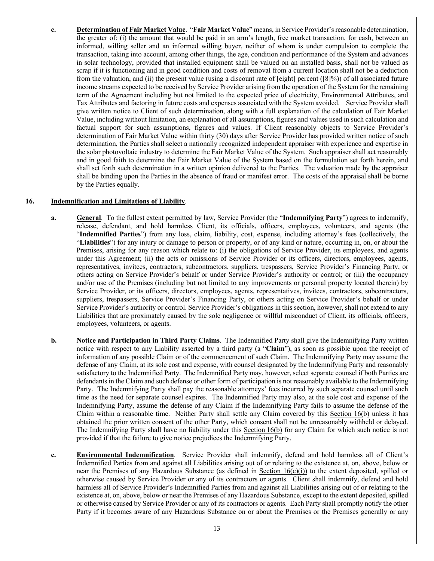**c. Determination of Fair Market Value**. "**Fair Market Value**" means, in Service Provider's reasonable determination, the greater of: (i) the amount that would be paid in an arm's length, free market transaction, for cash, between an informed, willing seller and an informed willing buyer, neither of whom is under compulsion to complete the transaction, taking into account, among other things, the age, condition and performance of the System and advances in solar technology, provided that installed equipment shall be valued on an installed basis, shall not be valued as scrap if it is functioning and in good condition and costs of removal from a current location shall not be a deduction from the valuation, and (ii) the present value (using a discount rate of  $[eight]$  percent  $([8]\%)$ ) of all associated future income streams expected to be received by Service Provider arising from the operation of the System for the remaining term of the Agreement including but not limited to the expected price of electricity, Environmental Attributes, and Tax Attributes and factoring in future costs and expenses associated with the System avoided. Service Provider shall give written notice to Client of such determination, along with a full explanation of the calculation of Fair Market Value, including without limitation, an explanation of all assumptions, figures and values used in such calculation and factual support for such assumptions, figures and values. If Client reasonably objects to Service Provider's determination of Fair Market Value within thirty (30) days after Service Provider has provided written notice of such determination, the Parties shall select a nationally recognized independent appraiser with experience and expertise in the solar photovoltaic industry to determine the Fair Market Value of the System. Such appraiser shall act reasonably and in good faith to determine the Fair Market Value of the System based on the formulation set forth herein, and shall set forth such determination in a written opinion delivered to the Parties. The valuation made by the appraiser shall be binding upon the Parties in the absence of fraud or manifest error. The costs of the appraisal shall be borne by the Parties equally.

#### **16. Indemnification and Limitations of Liability**.

- **a. General**. To the fullest extent permitted by law, Service Provider (the "**Indemnifying Party**") agrees to indemnify, release, defendant, and hold harmless Client, its officials, officers, employees, volunteers, and agents (the "**Indemnified Parties**") from any loss, claim, liability, cost, expense, including attorney's fees (collectively, the "**Liabilities**") for any injury or damage to person or property, or of any kind or nature, occurring in, on, or about the Premises, arising for any reason which relate to: (i) the obligations of Service Provider, its employees, and agents under this Agreement; (ii) the acts or omissions of Service Provider or its officers, directors, employees, agents, representatives, invitees, contractors, subcontractors, suppliers, trespassers, Service Provider's Financing Party, or others acting on Service Provider's behalf or under Service Provider's authority or control; or (iii) the occupancy and/or use of the Premises (including but not limited to any improvements or personal property located therein) by Service Provider, or its officers, directors, employees, agents, representatives, invitees, contractors, subcontractors, suppliers, trespassers, Service Provider's Financing Party, or others acting on Service Provider's behalf or under Service Provider's authority or control. Service Provider's obligations in this section, however, shall not extend to any Liabilities that are proximately caused by the sole negligence or willful misconduct of Client, its officials, officers, employees, volunteers, or agents.
- **b. Notice and Participation in Third Party Claims**. The Indemnified Party shall give the Indemnifying Party written notice with respect to any Liability asserted by a third party (a "**Claim**"), as soon as possible upon the receipt of information of any possible Claim or of the commencement of such Claim. The Indemnifying Party may assume the defense of any Claim, at its sole cost and expense, with counsel designated by the Indemnifying Party and reasonably satisfactory to the Indemnified Party. The Indemnified Party may, however, select separate counsel if both Parties are defendants in the Claim and such defense or other form of participation is not reasonably available to the Indemnifying Party. The Indemnifying Party shall pay the reasonable attorneys' fees incurred by such separate counsel until such time as the need for separate counsel expires. The Indemnified Party may also, at the sole cost and expense of the Indemnifying Party, assume the defense of any Claim if the Indemnifying Party fails to assume the defense of the Claim within a reasonable time. Neither Party shall settle any Claim covered by this Section 16(b) unless it has obtained the prior written consent of the other Party, which consent shall not be unreasonably withheld or delayed. The Indemnifying Party shall have no liability under this Section 16(b) for any Claim for which such notice is not provided if that the failure to give notice prejudices the Indemnifying Party.
- **c. Environmental Indemnification**. Service Provider shall indemnify, defend and hold harmless all of Client's Indemnified Parties from and against all Liabilities arising out of or relating to the existence at, on, above, below or near the Premises of any Hazardous Substance (as defined in Section  $16(c)(i)$ ) to the extent deposited, spilled or otherwise caused by Service Provider or any of its contractors or agents. Client shall indemnify, defend and hold harmless all of Service Provider's Indemnified Parties from and against all Liabilities arising out of or relating to the existence at, on, above, below or near the Premises of any Hazardous Substance, except to the extent deposited, spilled or otherwise caused by Service Provider or any of its contractors or agents. Each Party shall promptly notify the other Party if it becomes aware of any Hazardous Substance on or about the Premises or the Premises generally or any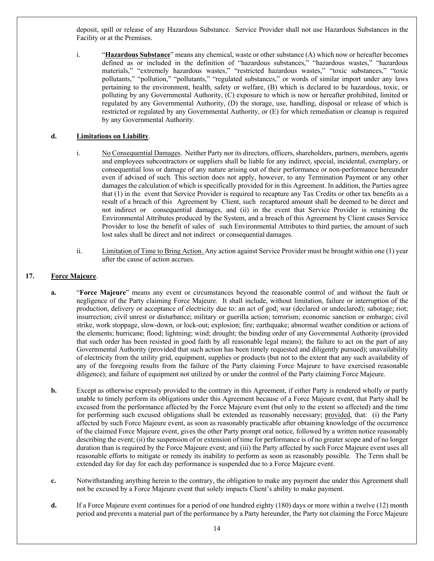deposit, spill or release of any Hazardous Substance. Service Provider shall not use Hazardous Substances in the Facility or at the Premises.

i. "**Hazardous Substance**" means any chemical, waste or other substance (A) which now or hereafter becomes defined as or included in the definition of "hazardous substances," "hazardous wastes," "hazardous materials," "extremely hazardous wastes," "restricted hazardous wastes," "toxic substances," "toxic pollutants," "pollution," "pollutants," "regulated substances," or words of similar import under any laws pertaining to the environment, health, safety or welfare, (B) which is declared to be hazardous, toxic, or polluting by any Governmental Authority, (C) exposure to which is now or hereafter prohibited, limited or regulated by any Governmental Authority, (D) the storage, use, handling, disposal or release of which is restricted or regulated by any Governmental Authority, or (E) for which remediation or cleanup is required by any Governmental Authority.

## **d. Limitations on Liability**.

- i. No Consequential Damages. Neither Party nor its directors, officers, shareholders, partners, members, agents and employees subcontractors or suppliers shall be liable for any indirect, special, incidental, exemplary, or consequential loss or damage of any nature arising out of their performance or non-performance hereunder even if advised of such. This section does not apply, however, to any Termination Payment or any other damages the calculation of which is specifically provided for in this Agreement. In addition, the Parties agree that (1) in the event that Service Provider is required to recapture any Tax Credits or other tax benefits as a result of a breach of this Agreement by Client, such recaptured amount shall be deemed to be direct and not indirect or consequential damages, and (ii) in the event that Service Provider is retaining the Environmental Attributes produced by the System, and a breach of this Agreement by Client causes Service Provider to lose the benefit of sales of such Environmental Attributes to third parties, the amount of such lost sales shall be direct and not indirect or consequential damages.
- ii. Limitation of Time to Bring Action. Any action against Service Provider must be brought within one (1) year after the cause of action accrues.

#### **17. Force Majeure**.

- **a.** "**Force Majeure**" means any event or circumstances beyond the reasonable control of and without the fault or negligence of the Party claiming Force Majeure. It shall include, without limitation, failure or interruption of the production, delivery or acceptance of electricity due to: an act of god; war (declared or undeclared); sabotage; riot; insurrection; civil unrest or disturbance; military or guerilla action; terrorism; economic sanction or embargo; civil strike, work stoppage, slow-down, or lock-out; explosion; fire; earthquake; abnormal weather condition or actions of the elements; hurricane; flood; lightning; wind; drought; the binding order of any Governmental Authority (provided that such order has been resisted in good faith by all reasonable legal means); the failure to act on the part of any Governmental Authority (provided that such action has been timely requested and diligently pursued); unavailability of electricity from the utility grid, equipment, supplies or products (but not to the extent that any such availability of any of the foregoing results from the failure of the Party claiming Force Majeure to have exercised reasonable diligence); and failure of equipment not utilized by or under the control of the Party claiming Force Majeure.
- **b.** Except as otherwise expressly provided to the contrary in this Agreement, if either Party is rendered wholly or partly unable to timely perform its obligations under this Agreement because of a Force Majeure event, that Party shall be excused from the performance affected by the Force Majeure event (but only to the extent so affected) and the time for performing such excused obligations shall be extended as reasonably necessary; provided, that: (i) the Party affected by such Force Majeure event, as soon as reasonably practicable after obtaining knowledge of the occurrence of the claimed Force Majeure event, gives the other Party prompt oral notice, followed by a written notice reasonably describing the event; (ii) the suspension of or extension of time for performance is of no greater scope and of no longer duration than is required by the Force Majeure event; and (iii) the Party affected by such Force Majeure event uses all reasonable efforts to mitigate or remedy its inability to perform as soon as reasonably possible. The Term shall be extended day for day for each day performance is suspended due to a Force Majeure event.
- **c.** Notwithstanding anything herein to the contrary, the obligation to make any payment due under this Agreement shall not be excused by a Force Majeure event that solely impacts Client's ability to make payment.
- **d.** If a Force Majeure event continues for a period of one hundred eighty (180) days or more within a twelve (12) month period and prevents a material part of the performance by a Party hereunder, the Party not claiming the Force Majeure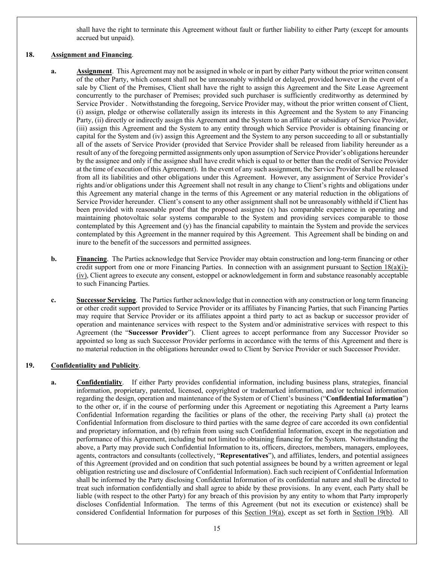shall have the right to terminate this Agreement without fault or further liability to either Party (except for amounts accrued but unpaid).

## **18. Assignment and Financing**.

- **a. Assignment**. This Agreement may not be assigned in whole or in part by either Party without the prior written consent of the other Party, which consent shall not be unreasonably withheld or delayed, provided however in the event of a sale by Client of the Premises, Client shall have the right to assign this Agreement and the Site Lease Agreement concurrently to the purchaser of Premises; provided such purchaser is sufficiently creditworthy as determined by Service Provider . Notwithstanding the foregoing, Service Provider may, without the prior written consent of Client, (i) assign, pledge or otherwise collaterally assign its interests in this Agreement and the System to any Financing Party, (ii) directly or indirectly assign this Agreement and the System to an affiliate or subsidiary of Service Provider, (iii) assign this Agreement and the System to any entity through which Service Provider is obtaining financing or capital for the System and (iv) assign this Agreement and the System to any person succeeding to all or substantially all of the assets of Service Provider (provided that Service Provider shall be released from liability hereunder as a result of any of the foregoing permitted assignments only upon assumption of Service Provider's obligations hereunder by the assignee and only if the assignee shall have credit which is equal to or better than the credit of Service Provider at the time of execution of this Agreement). In the event of any such assignment, the Service Provider shall be released from all its liabilities and other obligations under this Agreement. However, any assignment of Service Provider's rights and/or obligations under this Agreement shall not result in any change to Client's rights and obligations under this Agreement any material change in the terms of this Agreement or any material reduction in the obligations of Service Provider hereunder. Client's consent to any other assignment shall not be unreasonably withheld if Client has been provided with reasonable proof that the proposed assignee (x) has comparable experience in operating and maintaining photovoltaic solar systems comparable to the System and providing services comparable to those contemplated by this Agreement and (y) has the financial capability to maintain the System and provide the services contemplated by this Agreement in the manner required by this Agreement. This Agreement shall be binding on and inure to the benefit of the successors and permitted assignees.
- **b. Financing**. The Parties acknowledge that Service Provider may obtain construction and long-term financing or other credit support from one or more Financing Parties. In connection with an assignment pursuant to Section 18(a)(i)- (iv), Client agrees to execute any consent, estoppel or acknowledgement in form and substance reasonably acceptable to such Financing Parties.
- **c. Successor Servicing**. The Parties further acknowledge that in connection with any construction or long term financing or other credit support provided to Service Provider or its affiliates by Financing Parties, that such Financing Parties may require that Service Provider or its affiliates appoint a third party to act as backup or successor provider of operation and maintenance services with respect to the System and/or administrative services with respect to this Agreement (the "**Successor Provider**"). Client agrees to accept performance from any Successor Provider so appointed so long as such Successor Provider performs in accordance with the terms of this Agreement and there is no material reduction in the obligations hereunder owed to Client by Service Provider or such Successor Provider.

## **19. Confidentiality and Publicity**.

**a. Confidentiality**. If either Party provides confidential information, including business plans, strategies, financial information, proprietary, patented, licensed, copyrighted or trademarked information, and/or technical information regarding the design, operation and maintenance of the System or of Client's business ("**Confidential Information**") to the other or, if in the course of performing under this Agreement or negotiating this Agreement a Party learns Confidential Information regarding the facilities or plans of the other, the receiving Party shall (a) protect the Confidential Information from disclosure to third parties with the same degree of care accorded its own confidential and proprietary information, and (b) refrain from using such Confidential Information, except in the negotiation and performance of this Agreement, including but not limited to obtaining financing for the System. Notwithstanding the above, a Party may provide such Confidential Information to its, officers, directors, members, managers, employees, agents, contractors and consultants (collectively, "**Representatives**"), and affiliates, lenders, and potential assignees of this Agreement (provided and on condition that such potential assignees be bound by a written agreement or legal obligation restricting use and disclosure of Confidential Information). Each such recipient of Confidential Information shall be informed by the Party disclosing Confidential Information of its confidential nature and shall be directed to treat such information confidentially and shall agree to abide by these provisions. In any event, each Party shall be liable (with respect to the other Party) for any breach of this provision by any entity to whom that Party improperly discloses Confidential Information. The terms of this Agreement (but not its execution or existence) shall be considered Confidential Information for purposes of this Section 19(a), except as set forth in Section 19(b). All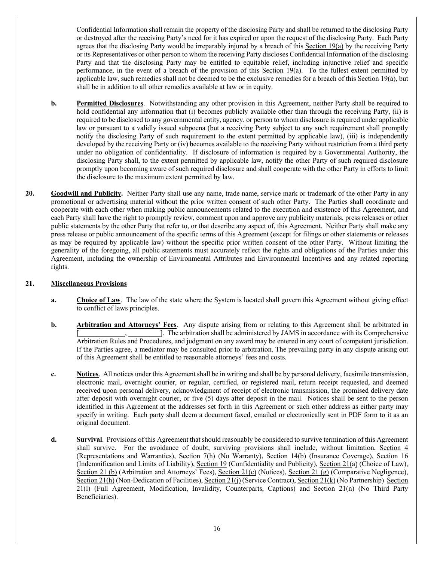Confidential Information shall remain the property of the disclosing Party and shall be returned to the disclosing Party or destroyed after the receiving Party's need for it has expired or upon the request of the disclosing Party. Each Party agrees that the disclosing Party would be irreparably injured by a breach of this Section 19(a) by the receiving Party or its Representatives or other person to whom the receiving Party discloses Confidential Information of the disclosing Party and that the disclosing Party may be entitled to equitable relief, including injunctive relief and specific performance, in the event of a breach of the provision of this Section 19(a). To the fullest extent permitted by applicable law, such remedies shall not be deemed to be the exclusive remedies for a breach of this  $Section 19(a)$ , but shall be in addition to all other remedies available at law or in equity.

- **b. Permitted Disclosures**. Notwithstanding any other provision in this Agreement, neither Party shall be required to hold confidential any information that (i) becomes publicly available other than through the receiving Party, (ii) is required to be disclosed to any governmental entity, agency, or person to whom disclosure is required under applicable law or pursuant to a validly issued subpoena (but a receiving Party subject to any such requirement shall promptly notify the disclosing Party of such requirement to the extent permitted by applicable law), (iii) is independently developed by the receiving Party or (iv) becomes available to the receiving Party without restriction from a third party under no obligation of confidentiality. If disclosure of information is required by a Governmental Authority, the disclosing Party shall, to the extent permitted by applicable law, notify the other Party of such required disclosure promptly upon becoming aware of such required disclosure and shall cooperate with the other Party in efforts to limit the disclosure to the maximum extent permitted by law.
- **20. Goodwill and Publicity.** Neither Party shall use any name, trade name, service mark or trademark of the other Party in any promotional or advertising material without the prior written consent of such other Party. The Parties shall coordinate and cooperate with each other when making public announcements related to the execution and existence of this Agreement, and each Party shall have the right to promptly review, comment upon and approve any publicity materials, press releases or other public statements by the other Party that refer to, or that describe any aspect of, this Agreement. Neither Party shall make any press release or public announcement of the specific terms of this Agreement (except for filings or other statements or releases as may be required by applicable law) without the specific prior written consent of the other Party. Without limiting the generality of the foregoing, all public statements must accurately reflect the rights and obligations of the Parties under this Agreement, including the ownership of Environmental Attributes and Environmental Incentives and any related reporting rights.

## **21. Miscellaneous Provisions**

- **a. Choice of Law**. The law of the state where the System is located shall govern this Agreement without giving effect to conflict of laws principles.
- **b. Arbitration and Attorneys' Fees.** Any dispute arising from or relating to this Agreement shall be arbitrated in ]. The arbitration shall be administered by JAMS in accordance with its Comprehensive Arbitration Rules and Procedures, and judgment on any award may be entered in any court of competent jurisdiction. If the Parties agree, a mediator may be consulted prior to arbitration. The prevailing party in any dispute arising out of this Agreement shall be entitled to reasonable attorneys' fees and costs.
- **c. Notices**. All notices under this Agreement shall be in writing and shall be by personal delivery, facsimile transmission, electronic mail, overnight courier, or regular, certified, or registered mail, return receipt requested, and deemed received upon personal delivery, acknowledgment of receipt of electronic transmission, the promised delivery date after deposit with overnight courier, or five (5) days after deposit in the mail. Notices shall be sent to the person identified in this Agreement at the addresses set forth in this Agreement or such other address as either party may specify in writing. Each party shall deem a document faxed, emailed or electronically sent in PDF form to it as an original document.
- **d. Survival**. Provisions of this Agreement that should reasonably be considered to survive termination of this Agreement shall survive. For the avoidance of doubt, surviving provisions shall include, without limitation, Section 4 (Representations and Warranties), Section 7(h) (No Warranty), Section 14(b) (Insurance Coverage), Section 16 (Indemnification and Limits of Liability), Section 19 (Confidentiality and Publicity), Section 21(a) (Choice of Law), Section 21 (b) (Arbitration and Attorneys' Fees), Section 21(c) (Notices), Section 21 (g) (Comparative Negligence), Section 21(h) (Non-Dedication of Facilities), Section 21(j) (Service Contract), Section 21(k) (No Partnership) Section 21(l) (Full Agreement, Modification, Invalidity, Counterparts, Captions) and Section 21(n) (No Third Party Beneficiaries).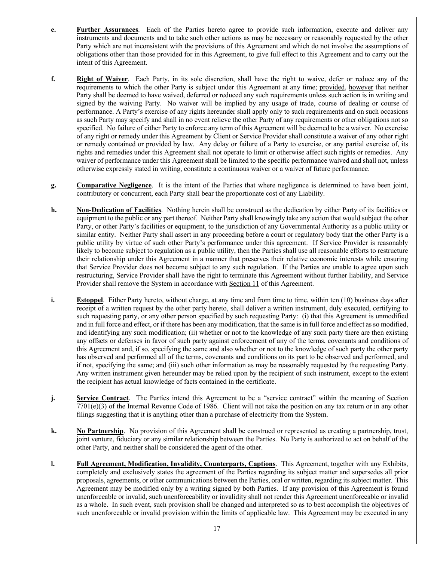- **e. Further Assurances**. Each of the Parties hereto agree to provide such information, execute and deliver any instruments and documents and to take such other actions as may be necessary or reasonably requested by the other Party which are not inconsistent with the provisions of this Agreement and which do not involve the assumptions of obligations other than those provided for in this Agreement, to give full effect to this Agreement and to carry out the intent of this Agreement.
- **f. Right of Waiver**. Each Party, in its sole discretion, shall have the right to waive, defer or reduce any of the requirements to which the other Party is subject under this Agreement at any time; provided, however that neither Party shall be deemed to have waived, deferred or reduced any such requirements unless such action is in writing and signed by the waiving Party. No waiver will be implied by any usage of trade, course of dealing or course of performance. A Party's exercise of any rights hereunder shall apply only to such requirements and on such occasions as such Party may specify and shall in no event relieve the other Party of any requirements or other obligations not so specified. No failure of either Party to enforce any term of this Agreement will be deemed to be a waiver. No exercise of any right or remedy under this Agreement by Client or Service Provider shall constitute a waiver of any other right or remedy contained or provided by law. Any delay or failure of a Party to exercise, or any partial exercise of, its rights and remedies under this Agreement shall not operate to limit or otherwise affect such rights or remedies. Any waiver of performance under this Agreement shall be limited to the specific performance waived and shall not, unless otherwise expressly stated in writing, constitute a continuous waiver or a waiver of future performance.
- **g. Comparative Negligence**. It is the intent of the Parties that where negligence is determined to have been joint, contributory or concurrent, each Party shall bear the proportionate cost of any Liability.
- **h. Non-Dedication of Facilities**. Nothing herein shall be construed as the dedication by either Party of its facilities or equipment to the public or any part thereof. Neither Party shall knowingly take any action that would subject the other Party, or other Party's facilities or equipment, to the jurisdiction of any Governmental Authority as a public utility or similar entity. Neither Party shall assert in any proceeding before a court or regulatory body that the other Party is a public utility by virtue of such other Party's performance under this agreement. If Service Provider is reasonably likely to become subject to regulation as a public utility, then the Parties shall use all reasonable efforts to restructure their relationship under this Agreement in a manner that preserves their relative economic interests while ensuring that Service Provider does not become subject to any such regulation. If the Parties are unable to agree upon such restructuring, Service Provider shall have the right to terminate this Agreement without further liability, and Service Provider shall remove the System in accordance with Section 11 of this Agreement.
- **i. Estoppel**. Either Party hereto, without charge, at any time and from time to time, within ten (10) business days after receipt of a written request by the other party hereto, shall deliver a written instrument, duly executed, certifying to such requesting party, or any other person specified by such requesting Party: (i) that this Agreement is unmodified and in full force and effect, or if there has been any modification, that the same is in full force and effect as so modified, and identifying any such modification; (ii) whether or not to the knowledge of any such party there are then existing any offsets or defenses in favor of such party against enforcement of any of the terms, covenants and conditions of this Agreement and, if so, specifying the same and also whether or not to the knowledge of such party the other party has observed and performed all of the terms, covenants and conditions on its part to be observed and performed, and if not, specifying the same; and (iii) such other information as may be reasonably requested by the requesting Party. Any written instrument given hereunder may be relied upon by the recipient of such instrument, except to the extent the recipient has actual knowledge of facts contained in the certificate.
- **j. Service Contract**. The Parties intend this Agreement to be a "service contract" within the meaning of Section  $7701(e)(3)$  of the Internal Revenue Code of 1986. Client will not take the position on any tax return or in any other filings suggesting that it is anything other than a purchase of electricity from the System.
- **k. No Partnership**. No provision of this Agreement shall be construed or represented as creating a partnership, trust, joint venture, fiduciary or any similar relationship between the Parties. No Party is authorized to act on behalf of the other Party, and neither shall be considered the agent of the other.
- **l. Full Agreement, Modification, Invalidity, Counterparts, Captions**. This Agreement, together with any Exhibits, completely and exclusively states the agreement of the Parties regarding its subject matter and supersedes all prior proposals, agreements, or other communications between the Parties, oral or written, regarding its subject matter. This Agreement may be modified only by a writing signed by both Parties. If any provision of this Agreement is found unenforceable or invalid, such unenforceability or invalidity shall not render this Agreement unenforceable or invalid as a whole. In such event, such provision shall be changed and interpreted so as to best accomplish the objectives of such unenforceable or invalid provision within the limits of applicable law. This Agreement may be executed in any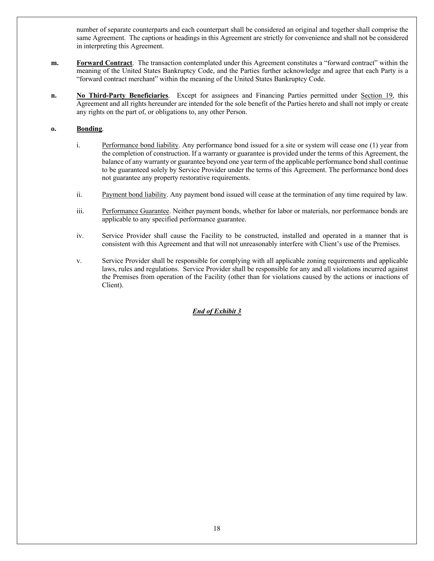number of separate counterparts and each counterpart shall be considered an original and together shall comprise the same Agreement. The captions or headings in this Agreement are strictly for convenience and shall not be considered in interpreting this Agreement.

- **m. Forward Contract**. The transaction contemplated under this Agreement constitutes a "forward contract" within the meaning of the United States Bankruptcy Code, and the Parties further acknowledge and agree that each Party is a "forward contract merchant" within the meaning of the United States Bankruptcy Code.
- **n. No Third-Party Beneficiaries**. Except for assignees and Financing Parties permitted under Section 19, this Agreement and all rights hereunder are intended for the sole benefit of the Parties hereto and shall not imply or create any rights on the part of, or obligations to, any other Person.

## **o. Bonding**.

- i. Performance bond liability. Any performance bond issued for a site or system will cease one (1) year from the completion of construction. If a warranty or guarantee is provided under the terms of this Agreement, the balance of any warranty or guarantee beyond one year term of the applicable performance bond shall continue to be guaranteed solely by Service Provider under the terms of this Agreement. The performance bond does not guarantee any property restorative requirements.
- ii. Payment bond liability. Any payment bond issued will cease at the termination of any time required by law.
- iii. Performance Guarantee. Neither payment bonds, whether for labor or materials, nor performance bonds are applicable to any specified performance guarantee.
- iv. Service Provider shall cause the Facility to be constructed, installed and operated in a manner that is consistent with this Agreement and that will not unreasonably interfere with Client's use of the Premises.
- v. Service Provider shall be responsible for complying with all applicable zoning requirements and applicable laws, rules and regulations. Service Provider shall be responsible for any and all violations incurred against the Premises from operation of the Facility (other than for violations caused by the actions or inactions of Client).

## *End of Exhibit 3*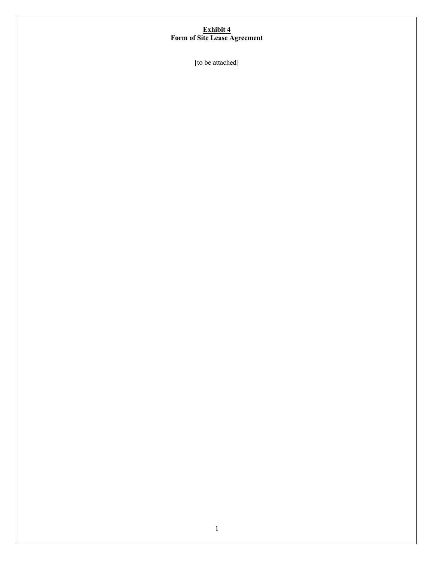#### **Exhibit 4 Form of Site Lease Agreement**

[to be attached]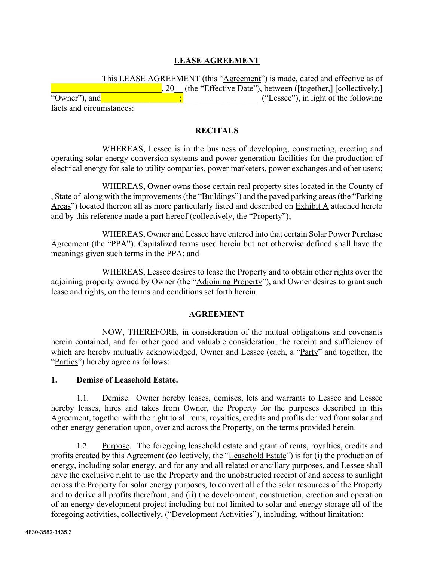# **LEASE AGREEMENT**

|                          | This LEASE AGREEMENT (this "Agreement") is made, dated and effective as of |
|--------------------------|----------------------------------------------------------------------------|
|                          | 20 (the "Effective Date"), between ([together,] [collectively,]            |
| "Owner", and             | ("Lessee"), in light of the following                                      |
| facts and circumstances: |                                                                            |

## **RECITALS**

WHEREAS, Lessee is in the business of developing, constructing, erecting and operating solar energy conversion systems and power generation facilities for the production of electrical energy for sale to utility companies, power marketers, power exchanges and other users;

WHEREAS, Owner owns those certain real property sites located in the County of , State of along with the improvements (the "Buildings") and the paved parking areas (the "Parking Areas") located thereon all as more particularly listed and described on **Exhibit A** attached hereto and by this reference made a part hereof (collectively, the "Property");

WHEREAS, Owner and Lessee have entered into that certain Solar Power Purchase Agreement (the "PPA"). Capitalized terms used herein but not otherwise defined shall have the meanings given such terms in the PPA; and

WHEREAS, Lessee desires to lease the Property and to obtain other rights over the adjoining property owned by Owner (the "Adjoining Property"), and Owner desires to grant such lease and rights, on the terms and conditions set forth herein.

## **AGREEMENT**

NOW, THEREFORE, in consideration of the mutual obligations and covenants herein contained, and for other good and valuable consideration, the receipt and sufficiency of which are hereby mutually acknowledged, Owner and Lessee (each, a "Party" and together, the "Parties") hereby agree as follows:

## **1. Demise of Leasehold Estate.**

1.1. Demise. Owner hereby leases, demises, lets and warrants to Lessee and Lessee hereby leases, hires and takes from Owner, the Property for the purposes described in this Agreement, together with the right to all rents, royalties, credits and profits derived from solar and other energy generation upon, over and across the Property, on the terms provided herein.

1.2. Purpose. The foregoing leasehold estate and grant of rents, royalties, credits and profits created by this Agreement (collectively, the "Leasehold Estate") is for (i) the production of energy, including solar energy, and for any and all related or ancillary purposes, and Lessee shall have the exclusive right to use the Property and the unobstructed receipt of and access to sunlight across the Property for solar energy purposes, to convert all of the solar resources of the Property and to derive all profits therefrom, and (ii) the development, construction, erection and operation of an energy development project including but not limited to solar and energy storage all of the foregoing activities, collectively, ("Development Activities"), including, without limitation: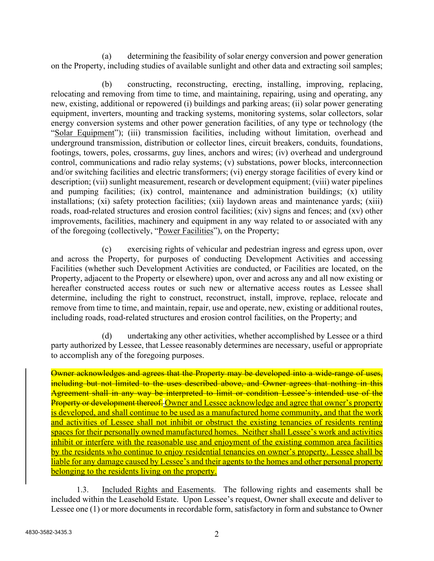(a) determining the feasibility of solar energy conversion and power generation on the Property, including studies of available sunlight and other data and extracting soil samples;

(b) constructing, reconstructing, erecting, installing, improving, replacing, relocating and removing from time to time, and maintaining, repairing, using and operating, any new, existing, additional or repowered (i) buildings and parking areas; (ii) solar power generating equipment, inverters, mounting and tracking systems, monitoring systems, solar collectors, solar energy conversion systems and other power generation facilities, of any type or technology (the "Solar Equipment"); (iii) transmission facilities, including without limitation, overhead and underground transmission, distribution or collector lines, circuit breakers, conduits, foundations, footings, towers, poles, crossarms, guy lines, anchors and wires; (iv) overhead and underground control, communications and radio relay systems; (v) substations, power blocks, interconnection and/or switching facilities and electric transformers; (vi) energy storage facilities of every kind or description; (vii) sunlight measurement, research or development equipment; (viii) water pipelines and pumping facilities; (ix) control, maintenance and administration buildings; (x) utility installations; (xi) safety protection facilities; (xii) laydown areas and maintenance yards; (xiii) roads, road-related structures and erosion control facilities; (xiv) signs and fences; and (xv) other improvements, facilities, machinery and equipment in any way related to or associated with any of the foregoing (collectively, "Power Facilities"), on the Property;

(c) exercising rights of vehicular and pedestrian ingress and egress upon, over and across the Property, for purposes of conducting Development Activities and accessing Facilities (whether such Development Activities are conducted, or Facilities are located, on the Property, adjacent to the Property or elsewhere) upon, over and across any and all now existing or hereafter constructed access routes or such new or alternative access routes as Lessee shall determine, including the right to construct, reconstruct, install, improve, replace, relocate and remove from time to time, and maintain, repair, use and operate, new, existing or additional routes, including roads, road-related structures and erosion control facilities, on the Property; and

(d) undertaking any other activities, whether accomplished by Lessee or a third party authorized by Lessee, that Lessee reasonably determines are necessary, useful or appropriate to accomplish any of the foregoing purposes.

Owner acknowledges and agrees that the Property may be developed into a wide-range of uses, including but not limited to the uses described above, and Owner agrees that nothing in this Agreement shall in any way be interpreted to limit or condition Lessee's intended use of the Property or development thereof. Owner and Lessee acknowledge and agree that owner's property is developed, and shall continue to be used as a manufactured home community, and that the work and activities of Lessee shall not inhibit or obstruct the existing tenancies of residents renting spaces for their personally owned manufactured homes. Neither shall Lessee's work and activities inhibit or interfere with the reasonable use and enjoyment of the existing common area facilities by the residents who continue to enjoy residential tenancies on owner's property. Lessee shall be liable for any damage caused by Lessee's and their agents to the homes and other personal property belonging to the residents living on the property.

1.3. Included Rights and Easements. The following rights and easements shall be included within the Leasehold Estate. Upon Lessee's request, Owner shall execute and deliver to Lessee one (1) or more documents in recordable form, satisfactory in form and substance to Owner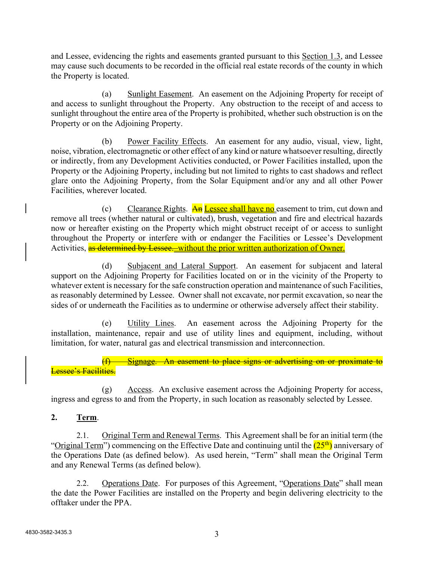and Lessee, evidencing the rights and easements granted pursuant to this Section 1.3, and Lessee may cause such documents to be recorded in the official real estate records of the county in which the Property is located.

(a) Sunlight Easement. An easement on the Adjoining Property for receipt of and access to sunlight throughout the Property. Any obstruction to the receipt of and access to sunlight throughout the entire area of the Property is prohibited, whether such obstruction is on the Property or on the Adjoining Property.

(b) Power Facility Effects. An easement for any audio, visual, view, light, noise, vibration, electromagnetic or other effect of any kind or nature whatsoever resulting, directly or indirectly, from any Development Activities conducted, or Power Facilities installed, upon the Property or the Adjoining Property, including but not limited to rights to cast shadows and reflect glare onto the Adjoining Property, from the Solar Equipment and/or any and all other Power Facilities, wherever located.

(c) Clearance Rights.  $\overline{An}$  Lessee shall have no easement to trim, cut down and remove all trees (whether natural or cultivated), brush, vegetation and fire and electrical hazards now or hereafter existing on the Property which might obstruct receipt of or access to sunlight throughout the Property or interfere with or endanger the Facilities or Lessee's Development Activities, as determined by Lessee. without the prior written authorization of Owner.

(d) Subjacent and Lateral Support. An easement for subjacent and lateral support on the Adjoining Property for Facilities located on or in the vicinity of the Property to whatever extent is necessary for the safe construction operation and maintenance of such Facilities, as reasonably determined by Lessee. Owner shall not excavate, nor permit excavation, so near the sides of or underneath the Facilities as to undermine or otherwise adversely affect their stability.

(e) Utility Lines. An easement across the Adjoining Property for the installation, maintenance, repair and use of utility lines and equipment, including, without limitation, for water, natural gas and electrical transmission and interconnection.

Signage. An easement to place signs or advertising on or proximate to Lessee's Facilities.

(g) Access. An exclusive easement across the Adjoining Property for access, ingress and egress to and from the Property, in such location as reasonably selected by Lessee.

**2. Term**.

2.1. Original Term and Renewal Terms. This Agreement shall be for an initial term (the "Original Term") commencing on the Effective Date and continuing until the  $(25<sup>th</sup>)$  anniversary of the Operations Date (as defined below). As used herein, "Term" shall mean the Original Term and any Renewal Terms (as defined below).

2.2. Operations Date. For purposes of this Agreement, "Operations Date" shall mean the date the Power Facilities are installed on the Property and begin delivering electricity to the offtaker under the PPA.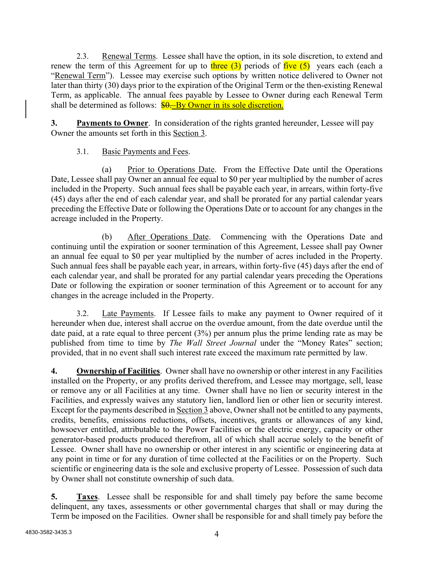2.3. Renewal Terms. Lessee shall have the option, in its sole discretion, to extend and renew the term of this Agreement for up to three  $(3)$  periods of five  $(5)$  years each (each a "Renewal Term"). Lessee may exercise such options by written notice delivered to Owner not later than thirty (30) days prior to the expiration of the Original Term or the then-existing Renewal Term, as applicable. The annual fees payable by Lessee to Owner during each Renewal Term shall be determined as follows:  $\frac{$0,-By\,Owner\,in}{y}$  its sole discretion.

**3. Payments to Owner**. In consideration of the rights granted hereunder, Lessee will pay Owner the amounts set forth in this Section 3.

# 3.1. Basic Payments and Fees.

(a) Prior to Operations Date. From the Effective Date until the Operations Date, Lessee shall pay Owner an annual fee equal to \$0 per year multiplied by the number of acres included in the Property. Such annual fees shall be payable each year, in arrears, within forty-five (45) days after the end of each calendar year, and shall be prorated for any partial calendar years preceding the Effective Date or following the Operations Date or to account for any changes in the acreage included in the Property.

(b) After Operations Date. Commencing with the Operations Date and continuing until the expiration or sooner termination of this Agreement, Lessee shall pay Owner an annual fee equal to \$0 per year multiplied by the number of acres included in the Property. Such annual fees shall be payable each year, in arrears, within forty-five (45) days after the end of each calendar year, and shall be prorated for any partial calendar years preceding the Operations Date or following the expiration or sooner termination of this Agreement or to account for any changes in the acreage included in the Property.

3.2. Late Payments. If Lessee fails to make any payment to Owner required of it hereunder when due, interest shall accrue on the overdue amount, from the date overdue until the date paid, at a rate equal to three percent (3%) per annum plus the prime lending rate as may be published from time to time by *The Wall Street Journal* under the "Money Rates" section; provided, that in no event shall such interest rate exceed the maximum rate permitted by law.

**4. Ownership of Facilities**. Owner shall have no ownership or other interest in any Facilities installed on the Property, or any profits derived therefrom, and Lessee may mortgage, sell, lease or remove any or all Facilities at any time. Owner shall have no lien or security interest in the Facilities, and expressly waives any statutory lien, landlord lien or other lien or security interest. Except for the payments described in Section 3 above, Owner shall not be entitled to any payments, credits, benefits, emissions reductions, offsets, incentives, grants or allowances of any kind, howsoever entitled, attributable to the Power Facilities or the electric energy, capacity or other generator-based products produced therefrom, all of which shall accrue solely to the benefit of Lessee. Owner shall have no ownership or other interest in any scientific or engineering data at any point in time or for any duration of time collected at the Facilities or on the Property. Such scientific or engineering data is the sole and exclusive property of Lessee. Possession of such data by Owner shall not constitute ownership of such data.

**5. Taxes**. Lessee shall be responsible for and shall timely pay before the same become delinquent, any taxes, assessments or other governmental charges that shall or may during the Term be imposed on the Facilities. Owner shall be responsible for and shall timely pay before the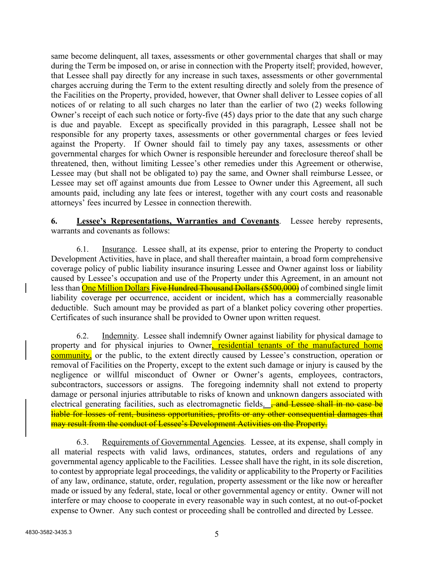same become delinquent, all taxes, assessments or other governmental charges that shall or may during the Term be imposed on, or arise in connection with the Property itself; provided, however, that Lessee shall pay directly for any increase in such taxes, assessments or other governmental charges accruing during the Term to the extent resulting directly and solely from the presence of the Facilities on the Property, provided, however, that Owner shall deliver to Lessee copies of all notices of or relating to all such charges no later than the earlier of two (2) weeks following Owner's receipt of each such notice or forty-five (45) days prior to the date that any such charge is due and payable. Except as specifically provided in this paragraph, Lessee shall not be responsible for any property taxes, assessments or other governmental charges or fees levied against the Property. If Owner should fail to timely pay any taxes, assessments or other governmental charges for which Owner is responsible hereunder and foreclosure thereof shall be threatened, then, without limiting Lessee's other remedies under this Agreement or otherwise, Lessee may (but shall not be obligated to) pay the same, and Owner shall reimburse Lessee, or Lessee may set off against amounts due from Lessee to Owner under this Agreement, all such amounts paid, including any late fees or interest, together with any court costs and reasonable attorneys' fees incurred by Lessee in connection therewith.

**6. Lessee's Representations, Warranties and Covenants**. Lessee hereby represents, warrants and covenants as follows:

6.1. Insurance. Lessee shall, at its expense, prior to entering the Property to conduct Development Activities, have in place, and shall thereafter maintain, a broad form comprehensive coverage policy of public liability insurance insuring Lessee and Owner against loss or liability caused by Lessee's occupation and use of the Property under this Agreement, in an amount not less than **One Million Dollars Five Hundred Thousand Dollars (\$500,000)** of combined single limit liability coverage per occurrence, accident or incident, which has a commercially reasonable deductible. Such amount may be provided as part of a blanket policy covering other properties. Certificates of such insurance shall be provided to Owner upon written request.

6.2. Indemnity. Lessee shall indemnify Owner against liability for physical damage to property and for physical injuries to Owner, residential tenants of the manufactured home community, or the public, to the extent directly caused by Lessee's construction, operation or removal of Facilities on the Property, except to the extent such damage or injury is caused by the negligence or willful misconduct of Owner or Owner's agents, employees, contractors, subcontractors, successors or assigns. The foregoing indemnity shall not extend to property damage or personal injuries attributable to risks of known and unknown dangers associated with electrical generating facilities, such as electromagnetic fields.  $\frac{1}{2}$  and Lessee shall in no case be liable for losses of rent, business opportunities, profits or any other consequential damages that may result from the conduct of Lessee's Development Activities on the Property.

6.3. Requirements of Governmental Agencies. Lessee, at its expense, shall comply in all material respects with valid laws, ordinances, statutes, orders and regulations of any governmental agency applicable to the Facilities. Lessee shall have the right, in its sole discretion, to contest by appropriate legal proceedings, the validity or applicability to the Property or Facilities of any law, ordinance, statute, order, regulation, property assessment or the like now or hereafter made or issued by any federal, state, local or other governmental agency or entity. Owner will not interfere or may choose to cooperate in every reasonable way in such contest, at no out-of-pocket expense to Owner. Any such contest or proceeding shall be controlled and directed by Lessee.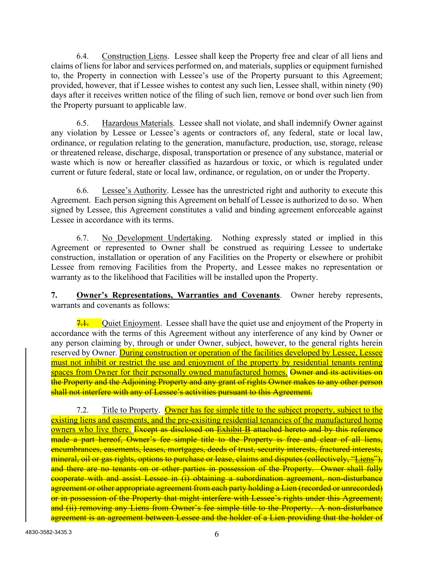6.4. Construction Liens. Lessee shall keep the Property free and clear of all liens and claims of liens for labor and services performed on, and materials, supplies or equipment furnished to, the Property in connection with Lessee's use of the Property pursuant to this Agreement; provided, however, that if Lessee wishes to contest any such lien, Lessee shall, within ninety (90) days after it receives written notice of the filing of such lien, remove or bond over such lien from the Property pursuant to applicable law.

6.5. Hazardous Materials. Lessee shall not violate, and shall indemnify Owner against any violation by Lessee or Lessee's agents or contractors of, any federal, state or local law, ordinance, or regulation relating to the generation, manufacture, production, use, storage, release or threatened release, discharge, disposal, transportation or presence of any substance, material or waste which is now or hereafter classified as hazardous or toxic, or which is regulated under current or future federal, state or local law, ordinance, or regulation, on or under the Property.

6.6. Lessee's Authority. Lessee has the unrestricted right and authority to execute this Agreement. Each person signing this Agreement on behalf of Lessee is authorized to do so. When signed by Lessee, this Agreement constitutes a valid and binding agreement enforceable against Lessee in accordance with its terms.

6.7. No Development Undertaking. Nothing expressly stated or implied in this Agreement or represented to Owner shall be construed as requiring Lessee to undertake construction, installation or operation of any Facilities on the Property or elsewhere or prohibit Lessee from removing Facilities from the Property, and Lessee makes no representation or warranty as to the likelihood that Facilities will be installed upon the Property.

**7. Owner's Representations, Warranties and Covenants**. Owner hereby represents, warrants and covenants as follows:

7.1. Quiet Enjoyment. Lessee shall have the quiet use and enjoyment of the Property in accordance with the terms of this Agreement without any interference of any kind by Owner or any person claiming by, through or under Owner, subject, however, to the general rights herein reserved by Owner. During construction or operation of the facilities developed by Lessee, Lessee must not inhibit or restrict the use and enjoyment of the property by residential tenants renting spaces from Owner for their personally owned manufactured homes. Owner and its activities on the Property and the Adjoining Property and any grant of rights Owner makes to any other person shall not interfere with any of Lessee's activities pursuant to this Agreement.

7.2. Title to Property. Owner has fee simple title to the subject property, subject to the existing liens and easements, and the pre-exisiting residential tenancies of the manufactured home owners who live there. Except as disclosed on Exhibit B attached hereto and by this reference made a part hereof, Owner's fee simple title to the Property is free and clear of all liens, encumbrances, easements, leases, mortgages, deeds of trust, security interests, fractured interests, mineral, oil or gas rights, options to purchase or lease, claims and disputes (collectively, "Liens"), and there are no tenants on or other parties in possession of the Property. Owner shall fully cooperate with and assist Lessee in (i) obtaining a subordination agreement, non-disturbance agreement or other appropriate agreement from each party holding a Lien (recorded or unrecorded) or in possession of the Property that might interfere with Lessee's rights under this Agreement; and (ii) removing any Liens from Owner's fee simple title to the Property. A non-disturbance agreement is an agreement between Lessee and the holder of a Lien providing that the holder of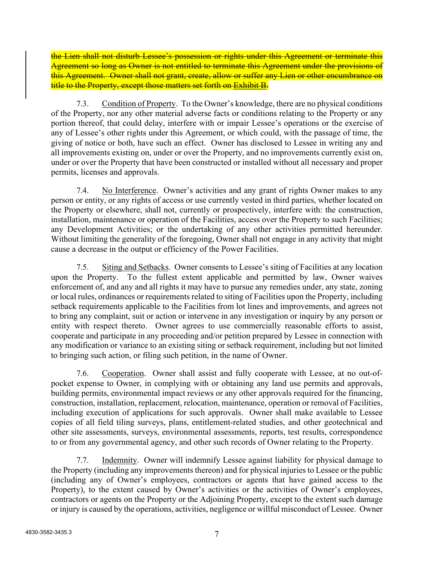the Lien shall not disturb Lessee's possession or rights under this Agreement or terminate this Agreement so long as Owner is not entitled to terminate this Agreement under the provisions of this Agreement. Owner shall not grant, create, allow or suffer any Lien or other encumbrance on title to the Property, except those matters set forth on Exhibit B.

7.3. Condition of Property. To the Owner's knowledge, there are no physical conditions of the Property, nor any other material adverse facts or conditions relating to the Property or any portion thereof, that could delay, interfere with or impair Lessee's operations or the exercise of any of Lessee's other rights under this Agreement, or which could, with the passage of time, the giving of notice or both, have such an effect. Owner has disclosed to Lessee in writing any and all improvements existing on, under or over the Property, and no improvements currently exist on, under or over the Property that have been constructed or installed without all necessary and proper permits, licenses and approvals.

7.4. No Interference. Owner's activities and any grant of rights Owner makes to any person or entity, or any rights of access or use currently vested in third parties, whether located on the Property or elsewhere, shall not, currently or prospectively, interfere with: the construction, installation, maintenance or operation of the Facilities, access over the Property to such Facilities; any Development Activities; or the undertaking of any other activities permitted hereunder. Without limiting the generality of the foregoing, Owner shall not engage in any activity that might cause a decrease in the output or efficiency of the Power Facilities.

7.5. Siting and Setbacks. Owner consents to Lessee's siting of Facilities at any location upon the Property. To the fullest extent applicable and permitted by law, Owner waives enforcement of, and any and all rights it may have to pursue any remedies under, any state, zoning or local rules, ordinances or requirements related to siting of Facilities upon the Property, including setback requirements applicable to the Facilities from lot lines and improvements, and agrees not to bring any complaint, suit or action or intervene in any investigation or inquiry by any person or entity with respect thereto. Owner agrees to use commercially reasonable efforts to assist, cooperate and participate in any proceeding and/or petition prepared by Lessee in connection with any modification or variance to an existing siting or setback requirement, including but not limited to bringing such action, or filing such petition, in the name of Owner.

7.6. Cooperation. Owner shall assist and fully cooperate with Lessee, at no out-ofpocket expense to Owner, in complying with or obtaining any land use permits and approvals, building permits, environmental impact reviews or any other approvals required for the financing, construction, installation, replacement, relocation, maintenance, operation or removal of Facilities, including execution of applications for such approvals. Owner shall make available to Lessee copies of all field tiling surveys, plans, entitlement-related studies, and other geotechnical and other site assessments, surveys, environmental assessments, reports, test results, correspondence to or from any governmental agency, and other such records of Owner relating to the Property.

7.7. Indemnity. Owner will indemnify Lessee against liability for physical damage to the Property (including any improvements thereon) and for physical injuries to Lessee or the public (including any of Owner's employees, contractors or agents that have gained access to the Property), to the extent caused by Owner's activities or the activities of Owner's employees, contractors or agents on the Property or the Adjoining Property, except to the extent such damage or injury is caused by the operations, activities, negligence or willful misconduct of Lessee. Owner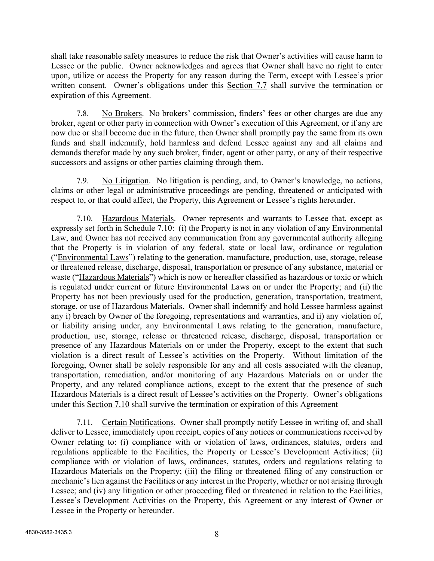shall take reasonable safety measures to reduce the risk that Owner's activities will cause harm to Lessee or the public.Owner acknowledges and agrees that Owner shall have no right to enter upon, utilize or access the Property for any reason during the Term, except with Lessee's prior written consent. Owner's obligations under this Section 7.7 shall survive the termination or expiration of this Agreement.

7.8. No Brokers. No brokers' commission, finders' fees or other charges are due any broker, agent or other party in connection with Owner's execution of this Agreement, or if any are now due or shall become due in the future, then Owner shall promptly pay the same from its own funds and shall indemnify, hold harmless and defend Lessee against any and all claims and demands therefor made by any such broker, finder, agent or other party, or any of their respective successors and assigns or other parties claiming through them.

7.9. No Litigation. No litigation is pending, and, to Owner's knowledge, no actions, claims or other legal or administrative proceedings are pending, threatened or anticipated with respect to, or that could affect, the Property, this Agreement or Lessee's rights hereunder.

7.10. Hazardous Materials. Owner represents and warrants to Lessee that, except as expressly set forth in Schedule 7.10: (i) the Property is not in any violation of any Environmental Law, and Owner has not received any communication from any governmental authority alleging that the Property is in violation of any federal, state or local law, ordinance or regulation ("Environmental Laws") relating to the generation, manufacture, production, use, storage, release or threatened release, discharge, disposal, transportation or presence of any substance, material or waste ("Hazardous Materials") which is now or hereafter classified as hazardous or toxic or which is regulated under current or future Environmental Laws on or under the Property; and (ii) the Property has not been previously used for the production, generation, transportation, treatment, storage, or use of Hazardous Materials. Owner shall indemnify and hold Lessee harmless against any i) breach by Owner of the foregoing, representations and warranties, and ii) any violation of, or liability arising under, any Environmental Laws relating to the generation, manufacture, production, use, storage, release or threatened release, discharge, disposal, transportation or presence of any Hazardous Materials on or under the Property, except to the extent that such violation is a direct result of Lessee's activities on the Property. Without limitation of the foregoing, Owner shall be solely responsible for any and all costs associated with the cleanup, transportation, remediation, and/or monitoring of any Hazardous Materials on or under the Property, and any related compliance actions, except to the extent that the presence of such Hazardous Materials is a direct result of Lessee's activities on the Property. Owner's obligations under this Section 7.10 shall survive the termination or expiration of this Agreement

7.11. Certain Notifications. Owner shall promptly notify Lessee in writing of, and shall deliver to Lessee, immediately upon receipt, copies of any notices or communications received by Owner relating to: (i) compliance with or violation of laws, ordinances, statutes, orders and regulations applicable to the Facilities, the Property or Lessee's Development Activities; (ii) compliance with or violation of laws, ordinances, statutes, orders and regulations relating to Hazardous Materials on the Property; (iii) the filing or threatened filing of any construction or mechanic's lien against the Facilities or any interest in the Property, whether or not arising through Lessee; and (iv) any litigation or other proceeding filed or threatened in relation to the Facilities, Lessee's Development Activities on the Property, this Agreement or any interest of Owner or Lessee in the Property or hereunder.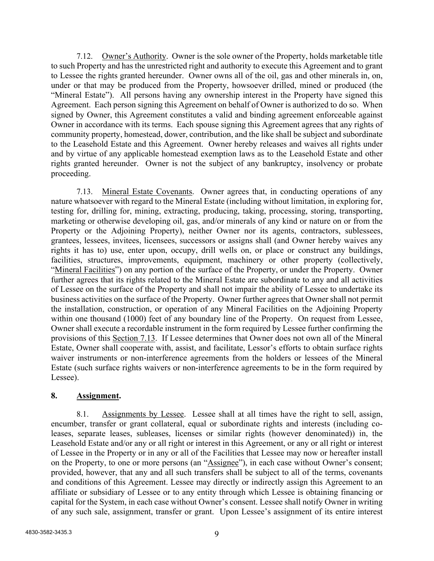7.12. Owner's Authority. Owner is the sole owner of the Property, holds marketable title to such Property and has the unrestricted right and authority to execute this Agreement and to grant to Lessee the rights granted hereunder. Owner owns all of the oil, gas and other minerals in, on, under or that may be produced from the Property, howsoever drilled, mined or produced (the "Mineral Estate"). All persons having any ownership interest in the Property have signed this Agreement. Each person signing this Agreement on behalf of Owner is authorized to do so. When signed by Owner, this Agreement constitutes a valid and binding agreement enforceable against Owner in accordance with its terms. Each spouse signing this Agreement agrees that any rights of community property, homestead, dower, contribution, and the like shall be subject and subordinate to the Leasehold Estate and this Agreement. Owner hereby releases and waives all rights under and by virtue of any applicable homestead exemption laws as to the Leasehold Estate and other rights granted hereunder. Owner is not the subject of any bankruptcy, insolvency or probate proceeding.

7.13. Mineral Estate Covenants. Owner agrees that, in conducting operations of any nature whatsoever with regard to the Mineral Estate (including without limitation, in exploring for, testing for, drilling for, mining, extracting, producing, taking, processing, storing, transporting, marketing or otherwise developing oil, gas, and/or minerals of any kind or nature on or from the Property or the Adjoining Property), neither Owner nor its agents, contractors, sublessees, grantees, lessees, invitees, licensees, successors or assigns shall (and Owner hereby waives any rights it has to) use, enter upon, occupy, drill wells on, or place or construct any buildings, facilities, structures, improvements, equipment, machinery or other property (collectively, "Mineral Facilities") on any portion of the surface of the Property, or under the Property. Owner further agrees that its rights related to the Mineral Estate are subordinate to any and all activities of Lessee on the surface of the Property and shall not impair the ability of Lessee to undertake its business activities on the surface of the Property. Owner further agrees that Owner shall not permit the installation, construction, or operation of any Mineral Facilities on the Adjoining Property within one thousand (1000) feet of any boundary line of the Property. On request from Lessee, Owner shall execute a recordable instrument in the form required by Lessee further confirming the provisions of this Section 7.13. If Lessee determines that Owner does not own all of the Mineral Estate, Owner shall cooperate with, assist, and facilitate, Lessor's efforts to obtain surface rights waiver instruments or non-interference agreements from the holders or lessees of the Mineral Estate (such surface rights waivers or non-interference agreements to be in the form required by Lessee).

# **8. Assignment.**

8.1. Assignments by Lessee. Lessee shall at all times have the right to sell, assign, encumber, transfer or grant collateral, equal or subordinate rights and interests (including coleases, separate leases, subleases, licenses or similar rights (however denominated)) in, the Leasehold Estate and/or any or all right or interest in this Agreement, or any or all right or interest of Lessee in the Property or in any or all of the Facilities that Lessee may now or hereafter install on the Property, to one or more persons (an "Assignee"), in each case without Owner's consent; provided, however, that any and all such transfers shall be subject to all of the terms, covenants and conditions of this Agreement. Lessee may directly or indirectly assign this Agreement to an affiliate or subsidiary of Lessee or to any entity through which Lessee is obtaining financing or capital for the System, in each case without Owner's consent. Lessee shall notify Owner in writing of any such sale, assignment, transfer or grant. Upon Lessee's assignment of its entire interest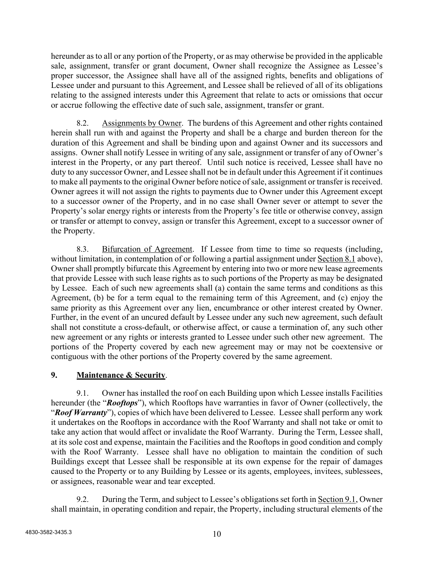hereunder as to all or any portion of the Property, or as may otherwise be provided in the applicable sale, assignment, transfer or grant document, Owner shall recognize the Assignee as Lessee's proper successor, the Assignee shall have all of the assigned rights, benefits and obligations of Lessee under and pursuant to this Agreement, and Lessee shall be relieved of all of its obligations relating to the assigned interests under this Agreement that relate to acts or omissions that occur or accrue following the effective date of such sale, assignment, transfer or grant.

8.2. Assignments by Owner. The burdens of this Agreement and other rights contained herein shall run with and against the Property and shall be a charge and burden thereon for the duration of this Agreement and shall be binding upon and against Owner and its successors and assigns. Owner shall notify Lessee in writing of any sale, assignment or transfer of any of Owner's interest in the Property, or any part thereof. Until such notice is received, Lessee shall have no duty to any successor Owner, and Lessee shall not be in default under this Agreement if it continues to make all payments to the original Owner before notice of sale, assignment or transfer is received. Owner agrees it will not assign the rights to payments due to Owner under this Agreement except to a successor owner of the Property, and in no case shall Owner sever or attempt to sever the Property's solar energy rights or interests from the Property's fee title or otherwise convey, assign or transfer or attempt to convey, assign or transfer this Agreement, except to a successor owner of the Property.

8.3. Bifurcation of Agreement. If Lessee from time to time so requests (including, without limitation, in contemplation of or following a partial assignment under Section 8.1 above), Owner shall promptly bifurcate this Agreement by entering into two or more new lease agreements that provide Lessee with such lease rights as to such portions of the Property as may be designated by Lessee. Each of such new agreements shall (a) contain the same terms and conditions as this Agreement, (b) be for a term equal to the remaining term of this Agreement, and (c) enjoy the same priority as this Agreement over any lien, encumbrance or other interest created by Owner. Further, in the event of an uncured default by Lessee under any such new agreement, such default shall not constitute a cross-default, or otherwise affect, or cause a termination of, any such other new agreement or any rights or interests granted to Lessee under such other new agreement. The portions of the Property covered by each new agreement may or may not be coextensive or contiguous with the other portions of the Property covered by the same agreement.

# **9. Maintenance & Security**.

9.1. Owner has installed the roof on each Building upon which Lessee installs Facilities hereunder (the "*Rooftops*"), which Rooftops have warranties in favor of Owner (collectively, the "*Roof Warranty*"), copies of which have been delivered to Lessee. Lessee shall perform any work it undertakes on the Rooftops in accordance with the Roof Warranty and shall not take or omit to take any action that would affect or invalidate the Roof Warranty. During the Term, Lessee shall, at its sole cost and expense, maintain the Facilities and the Rooftops in good condition and comply with the Roof Warranty. Lessee shall have no obligation to maintain the condition of such Buildings except that Lessee shall be responsible at its own expense for the repair of damages caused to the Property or to any Building by Lessee or its agents, employees, invitees, sublessees, or assignees, reasonable wear and tear excepted.

9.2. During the Term, and subject to Lessee's obligations set forth in Section 9.1, Owner shall maintain, in operating condition and repair, the Property, including structural elements of the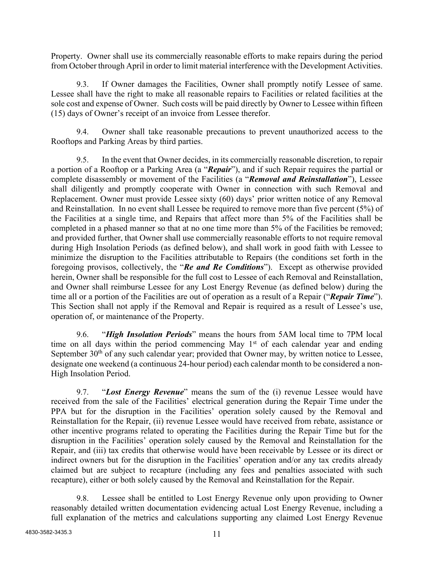Property. Owner shall use its commercially reasonable efforts to make repairs during the period from October through April in order to limit material interference with the Development Activities.

9.3. If Owner damages the Facilities, Owner shall promptly notify Lessee of same. Lessee shall have the right to make all reasonable repairs to Facilities or related facilities at the sole cost and expense of Owner. Such costs will be paid directly by Owner to Lessee within fifteen (15) days of Owner's receipt of an invoice from Lessee therefor.

9.4. Owner shall take reasonable precautions to prevent unauthorized access to the Rooftops and Parking Areas by third parties.

9.5. In the event that Owner decides, in its commercially reasonable discretion, to repair a portion of a Rooftop or a Parking Area (a "*Repair*"), and if such Repair requires the partial or complete disassembly or movement of the Facilities (a "*Removal and Reinstallation*"), Lessee shall diligently and promptly cooperate with Owner in connection with such Removal and Replacement. Owner must provide Lessee sixty (60) days' prior written notice of any Removal and Reinstallation. In no event shall Lessee be required to remove more than five percent (5%) of the Facilities at a single time, and Repairs that affect more than 5% of the Facilities shall be completed in a phased manner so that at no one time more than 5% of the Facilities be removed; and provided further, that Owner shall use commercially reasonable efforts to not require removal during High Insolation Periods (as defined below), and shall work in good faith with Lessee to minimize the disruption to the Facilities attributable to Repairs (the conditions set forth in the foregoing provisos, collectively, the "*Re and Re Conditions*"). Except as otherwise provided herein, Owner shall be responsible for the full cost to Lessee of each Removal and Reinstallation, and Owner shall reimburse Lessee for any Lost Energy Revenue (as defined below) during the time all or a portion of the Facilities are out of operation as a result of a Repair ("*Repair Time*"). This Section shall not apply if the Removal and Repair is required as a result of Lessee's use, operation of, or maintenance of the Property.

9.6. "*High Insolation Periods*" means the hours from 5AM local time to 7PM local time on all days within the period commencing May 1<sup>st</sup> of each calendar year and ending September  $30<sup>th</sup>$  of any such calendar year; provided that Owner may, by written notice to Lessee, designate one weekend (a continuous 24-hour period) each calendar month to be considered a non-High Insolation Period.

9.7. "*Lost Energy Revenue*" means the sum of the (i) revenue Lessee would have received from the sale of the Facilities' electrical generation during the Repair Time under the PPA but for the disruption in the Facilities' operation solely caused by the Removal and Reinstallation for the Repair, (ii) revenue Lessee would have received from rebate, assistance or other incentive programs related to operating the Facilities during the Repair Time but for the disruption in the Facilities' operation solely caused by the Removal and Reinstallation for the Repair, and (iii) tax credits that otherwise would have been receivable by Lessee or its direct or indirect owners but for the disruption in the Facilities' operation and/or any tax credits already claimed but are subject to recapture (including any fees and penalties associated with such recapture), either or both solely caused by the Removal and Reinstallation for the Repair.

9.8. Lessee shall be entitled to Lost Energy Revenue only upon providing to Owner reasonably detailed written documentation evidencing actual Lost Energy Revenue, including a full explanation of the metrics and calculations supporting any claimed Lost Energy Revenue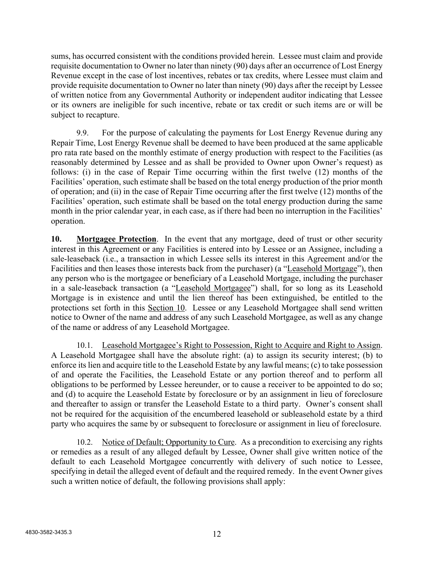sums, has occurred consistent with the conditions provided herein. Lessee must claim and provide requisite documentation to Owner no later than ninety (90) days after an occurrence of Lost Energy Revenue except in the case of lost incentives, rebates or tax credits, where Lessee must claim and provide requisite documentation to Owner no later than ninety (90) days after the receipt by Lessee of written notice from any Governmental Authority or independent auditor indicating that Lessee or its owners are ineligible for such incentive, rebate or tax credit or such items are or will be subject to recapture.

9.9. For the purpose of calculating the payments for Lost Energy Revenue during any Repair Time, Lost Energy Revenue shall be deemed to have been produced at the same applicable pro rata rate based on the monthly estimate of energy production with respect to the Facilities (as reasonably determined by Lessee and as shall be provided to Owner upon Owner's request) as follows: (i) in the case of Repair Time occurring within the first twelve (12) months of the Facilities' operation, such estimate shall be based on the total energy production of the prior month of operation; and (ii) in the case of Repair Time occurring after the first twelve (12) months of the Facilities' operation, such estimate shall be based on the total energy production during the same month in the prior calendar year, in each case, as if there had been no interruption in the Facilities' operation.

**10. Mortgagee Protection**. In the event that any mortgage, deed of trust or other security interest in this Agreement or any Facilities is entered into by Lessee or an Assignee, including a sale-leaseback (i.e., a transaction in which Lessee sells its interest in this Agreement and/or the Facilities and then leases those interests back from the purchaser) (a "Leasehold Mortgage"), then any person who is the mortgagee or beneficiary of a Leasehold Mortgage, including the purchaser in a sale-leaseback transaction (a "Leasehold Mortgagee") shall, for so long as its Leasehold Mortgage is in existence and until the lien thereof has been extinguished, be entitled to the protections set forth in this Section 10. Lessee or any Leasehold Mortgagee shall send written notice to Owner of the name and address of any such Leasehold Mortgagee, as well as any change of the name or address of any Leasehold Mortgagee.

10.1. Leasehold Mortgagee's Right to Possession, Right to Acquire and Right to Assign. A Leasehold Mortgagee shall have the absolute right: (a) to assign its security interest; (b) to enforce its lien and acquire title to the Leasehold Estate by any lawful means; (c) to take possession of and operate the Facilities, the Leasehold Estate or any portion thereof and to perform all obligations to be performed by Lessee hereunder, or to cause a receiver to be appointed to do so; and (d) to acquire the Leasehold Estate by foreclosure or by an assignment in lieu of foreclosure and thereafter to assign or transfer the Leasehold Estate to a third party. Owner's consent shall not be required for the acquisition of the encumbered leasehold or subleasehold estate by a third party who acquires the same by or subsequent to foreclosure or assignment in lieu of foreclosure.

10.2. Notice of Default; Opportunity to Cure. As a precondition to exercising any rights or remedies as a result of any alleged default by Lessee, Owner shall give written notice of the default to each Leasehold Mortgagee concurrently with delivery of such notice to Lessee, specifying in detail the alleged event of default and the required remedy. In the event Owner gives such a written notice of default, the following provisions shall apply: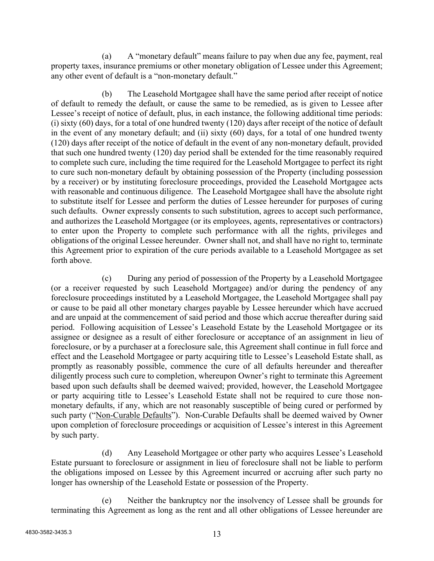(a) A "monetary default" means failure to pay when due any fee, payment, real property taxes, insurance premiums or other monetary obligation of Lessee under this Agreement; any other event of default is a "non-monetary default."

(b) The Leasehold Mortgagee shall have the same period after receipt of notice of default to remedy the default, or cause the same to be remedied, as is given to Lessee after Lessee's receipt of notice of default, plus, in each instance, the following additional time periods: (i) sixty (60) days, for a total of one hundred twenty (120) days after receipt of the notice of default in the event of any monetary default; and (ii) sixty (60) days, for a total of one hundred twenty (120) days after receipt of the notice of default in the event of any non-monetary default, provided that such one hundred twenty (120) day period shall be extended for the time reasonably required to complete such cure, including the time required for the Leasehold Mortgagee to perfect its right to cure such non-monetary default by obtaining possession of the Property (including possession by a receiver) or by instituting foreclosure proceedings, provided the Leasehold Mortgagee acts with reasonable and continuous diligence. The Leasehold Mortgagee shall have the absolute right to substitute itself for Lessee and perform the duties of Lessee hereunder for purposes of curing such defaults. Owner expressly consents to such substitution, agrees to accept such performance, and authorizes the Leasehold Mortgagee (or its employees, agents, representatives or contractors) to enter upon the Property to complete such performance with all the rights, privileges and obligations of the original Lessee hereunder. Owner shall not, and shall have no right to, terminate this Agreement prior to expiration of the cure periods available to a Leasehold Mortgagee as set forth above.

(c) During any period of possession of the Property by a Leasehold Mortgagee (or a receiver requested by such Leasehold Mortgagee) and/or during the pendency of any foreclosure proceedings instituted by a Leasehold Mortgagee, the Leasehold Mortgagee shall pay or cause to be paid all other monetary charges payable by Lessee hereunder which have accrued and are unpaid at the commencement of said period and those which accrue thereafter during said period. Following acquisition of Lessee's Leasehold Estate by the Leasehold Mortgagee or its assignee or designee as a result of either foreclosure or acceptance of an assignment in lieu of foreclosure, or by a purchaser at a foreclosure sale, this Agreement shall continue in full force and effect and the Leasehold Mortgagee or party acquiring title to Lessee's Leasehold Estate shall, as promptly as reasonably possible, commence the cure of all defaults hereunder and thereafter diligently process such cure to completion, whereupon Owner's right to terminate this Agreement based upon such defaults shall be deemed waived; provided, however, the Leasehold Mortgagee or party acquiring title to Lessee's Leasehold Estate shall not be required to cure those nonmonetary defaults, if any, which are not reasonably susceptible of being cured or performed by such party ("Non-Curable Defaults"). Non-Curable Defaults shall be deemed waived by Owner upon completion of foreclosure proceedings or acquisition of Lessee's interest in this Agreement by such party.

(d) Any Leasehold Mortgagee or other party who acquires Lessee's Leasehold Estate pursuant to foreclosure or assignment in lieu of foreclosure shall not be liable to perform the obligations imposed on Lessee by this Agreement incurred or accruing after such party no longer has ownership of the Leasehold Estate or possession of the Property.

(e) Neither the bankruptcy nor the insolvency of Lessee shall be grounds for terminating this Agreement as long as the rent and all other obligations of Lessee hereunder are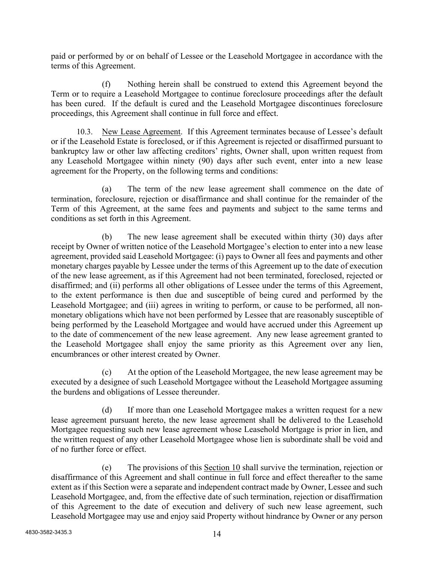paid or performed by or on behalf of Lessee or the Leasehold Mortgagee in accordance with the terms of this Agreement.

(f) Nothing herein shall be construed to extend this Agreement beyond the Term or to require a Leasehold Mortgagee to continue foreclosure proceedings after the default has been cured. If the default is cured and the Leasehold Mortgagee discontinues foreclosure proceedings, this Agreement shall continue in full force and effect.

10.3. New Lease Agreement. If this Agreement terminates because of Lessee's default or if the Leasehold Estate is foreclosed, or if this Agreement is rejected or disaffirmed pursuant to bankruptcy law or other law affecting creditors' rights, Owner shall, upon written request from any Leasehold Mortgagee within ninety (90) days after such event, enter into a new lease agreement for the Property, on the following terms and conditions:

(a) The term of the new lease agreement shall commence on the date of termination, foreclosure, rejection or disaffirmance and shall continue for the remainder of the Term of this Agreement, at the same fees and payments and subject to the same terms and conditions as set forth in this Agreement.

(b) The new lease agreement shall be executed within thirty (30) days after receipt by Owner of written notice of the Leasehold Mortgagee's election to enter into a new lease agreement, provided said Leasehold Mortgagee: (i) pays to Owner all fees and payments and other monetary charges payable by Lessee under the terms of this Agreement up to the date of execution of the new lease agreement, as if this Agreement had not been terminated, foreclosed, rejected or disaffirmed; and (ii) performs all other obligations of Lessee under the terms of this Agreement, to the extent performance is then due and susceptible of being cured and performed by the Leasehold Mortgagee; and (iii) agrees in writing to perform, or cause to be performed, all nonmonetary obligations which have not been performed by Lessee that are reasonably susceptible of being performed by the Leasehold Mortgagee and would have accrued under this Agreement up to the date of commencement of the new lease agreement. Any new lease agreement granted to the Leasehold Mortgagee shall enjoy the same priority as this Agreement over any lien, encumbrances or other interest created by Owner.

(c) At the option of the Leasehold Mortgagee, the new lease agreement may be executed by a designee of such Leasehold Mortgagee without the Leasehold Mortgagee assuming the burdens and obligations of Lessee thereunder.

(d) If more than one Leasehold Mortgagee makes a written request for a new lease agreement pursuant hereto, the new lease agreement shall be delivered to the Leasehold Mortgagee requesting such new lease agreement whose Leasehold Mortgage is prior in lien, and the written request of any other Leasehold Mortgagee whose lien is subordinate shall be void and of no further force or effect.

(e) The provisions of this Section 10 shall survive the termination, rejection or disaffirmance of this Agreement and shall continue in full force and effect thereafter to the same extent as if this Section were a separate and independent contract made by Owner, Lessee and such Leasehold Mortgagee, and, from the effective date of such termination, rejection or disaffirmation of this Agreement to the date of execution and delivery of such new lease agreement, such Leasehold Mortgagee may use and enjoy said Property without hindrance by Owner or any person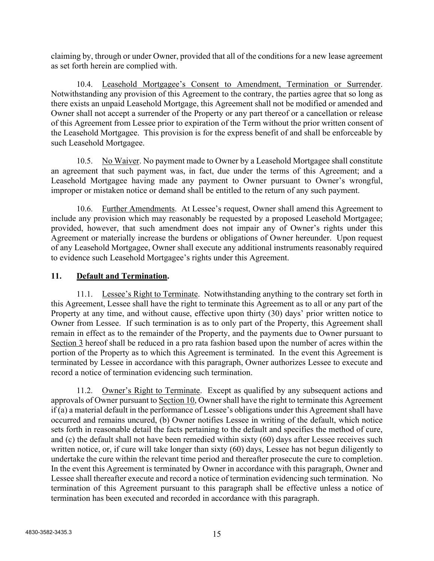claiming by, through or under Owner, provided that all of the conditions for a new lease agreement as set forth herein are complied with.

10.4. Leasehold Mortgagee's Consent to Amendment, Termination or Surrender. Notwithstanding any provision of this Agreement to the contrary, the parties agree that so long as there exists an unpaid Leasehold Mortgage, this Agreement shall not be modified or amended and Owner shall not accept a surrender of the Property or any part thereof or a cancellation or release of this Agreement from Lessee prior to expiration of the Term without the prior written consent of the Leasehold Mortgagee. This provision is for the express benefit of and shall be enforceable by such Leasehold Mortgagee.

10.5. No Waiver. No payment made to Owner by a Leasehold Mortgagee shall constitute an agreement that such payment was, in fact, due under the terms of this Agreement; and a Leasehold Mortgagee having made any payment to Owner pursuant to Owner's wrongful, improper or mistaken notice or demand shall be entitled to the return of any such payment.

10.6. Further Amendments. At Lessee's request, Owner shall amend this Agreement to include any provision which may reasonably be requested by a proposed Leasehold Mortgagee; provided, however, that such amendment does not impair any of Owner's rights under this Agreement or materially increase the burdens or obligations of Owner hereunder. Upon request of any Leasehold Mortgagee, Owner shall execute any additional instruments reasonably required to evidence such Leasehold Mortgagee's rights under this Agreement.

# **11. Default and Termination.**

11.1. Lessee's Right to Terminate. Notwithstanding anything to the contrary set forth in this Agreement, Lessee shall have the right to terminate this Agreement as to all or any part of the Property at any time, and without cause, effective upon thirty (30) days' prior written notice to Owner from Lessee. If such termination is as to only part of the Property, this Agreement shall remain in effect as to the remainder of the Property, and the payments due to Owner pursuant to Section 3 hereof shall be reduced in a pro rata fashion based upon the number of acres within the portion of the Property as to which this Agreement is terminated. In the event this Agreement is terminated by Lessee in accordance with this paragraph, Owner authorizes Lessee to execute and record a notice of termination evidencing such termination.

11.2. Owner's Right to Terminate. Except as qualified by any subsequent actions and approvals of Owner pursuant to Section 10, Owner shall have the right to terminate this Agreement if (a) a material default in the performance of Lessee's obligations under this Agreement shall have occurred and remains uncured, (b) Owner notifies Lessee in writing of the default, which notice sets forth in reasonable detail the facts pertaining to the default and specifies the method of cure, and (c) the default shall not have been remedied within sixty (60) days after Lessee receives such written notice, or, if cure will take longer than sixty (60) days, Lessee has not begun diligently to undertake the cure within the relevant time period and thereafter prosecute the cure to completion. In the event this Agreement is terminated by Owner in accordance with this paragraph, Owner and Lessee shall thereafter execute and record a notice of termination evidencing such termination. No termination of this Agreement pursuant to this paragraph shall be effective unless a notice of termination has been executed and recorded in accordance with this paragraph.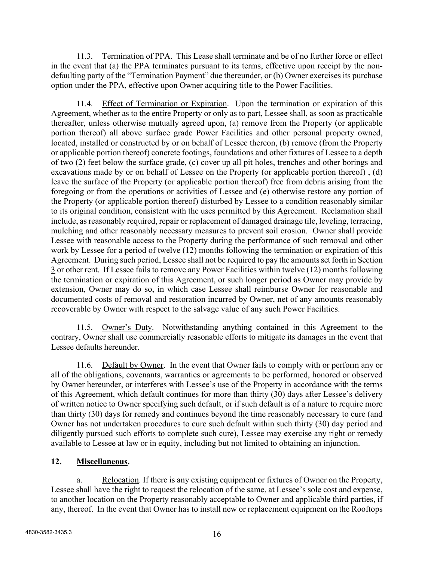11.3. Termination of PPA. This Lease shall terminate and be of no further force or effect in the event that (a) the PPA terminates pursuant to its terms, effective upon receipt by the nondefaulting party of the "Termination Payment" due thereunder, or (b) Owner exercises its purchase option under the PPA, effective upon Owner acquiring title to the Power Facilities.

11.4. Effect of Termination or Expiration. Upon the termination or expiration of this Agreement, whether as to the entire Property or only as to part, Lessee shall, as soon as practicable thereafter, unless otherwise mutually agreed upon, (a) remove from the Property (or applicable portion thereof) all above surface grade Power Facilities and other personal property owned, located, installed or constructed by or on behalf of Lessee thereon, (b) remove (from the Property or applicable portion thereof) concrete footings, foundations and other fixtures of Lessee to a depth of two (2) feet below the surface grade, (c) cover up all pit holes, trenches and other borings and excavations made by or on behalf of Lessee on the Property (or applicable portion thereof) , (d) leave the surface of the Property (or applicable portion thereof) free from debris arising from the foregoing or from the operations or activities of Lessee and (e) otherwise restore any portion of the Property (or applicable portion thereof) disturbed by Lessee to a condition reasonably similar to its original condition, consistent with the uses permitted by this Agreement. Reclamation shall include, as reasonably required, repair or replacement of damaged drainage tile, leveling, terracing, mulching and other reasonably necessary measures to prevent soil erosion. Owner shall provide Lessee with reasonable access to the Property during the performance of such removal and other work by Lessee for a period of twelve (12) months following the termination or expiration of this Agreement. During such period, Lessee shall not be required to pay the amounts set forth in Section 3 or other rent. If Lessee fails to remove any Power Facilities within twelve (12) months following the termination or expiration of this Agreement, or such longer period as Owner may provide by extension, Owner may do so, in which case Lessee shall reimburse Owner for reasonable and documented costs of removal and restoration incurred by Owner, net of any amounts reasonably recoverable by Owner with respect to the salvage value of any such Power Facilities.

11.5. Owner's Duty. Notwithstanding anything contained in this Agreement to the contrary, Owner shall use commercially reasonable efforts to mitigate its damages in the event that Lessee defaults hereunder.

11.6. Default by Owner. In the event that Owner fails to comply with or perform any or all of the obligations, covenants, warranties or agreements to be performed, honored or observed by Owner hereunder, or interferes with Lessee's use of the Property in accordance with the terms of this Agreement, which default continues for more than thirty (30) days after Lessee's delivery of written notice to Owner specifying such default, or if such default is of a nature to require more than thirty (30) days for remedy and continues beyond the time reasonably necessary to cure (and Owner has not undertaken procedures to cure such default within such thirty (30) day period and diligently pursued such efforts to complete such cure), Lessee may exercise any right or remedy available to Lessee at law or in equity, including but not limited to obtaining an injunction.

# **12. Miscellaneous.**

a. Relocation. If there is any existing equipment or fixtures of Owner on the Property, Lessee shall have the right to request the relocation of the same, at Lessee's sole cost and expense, to another location on the Property reasonably acceptable to Owner and applicable third parties, if any, thereof. In the event that Owner has to install new or replacement equipment on the Rooftops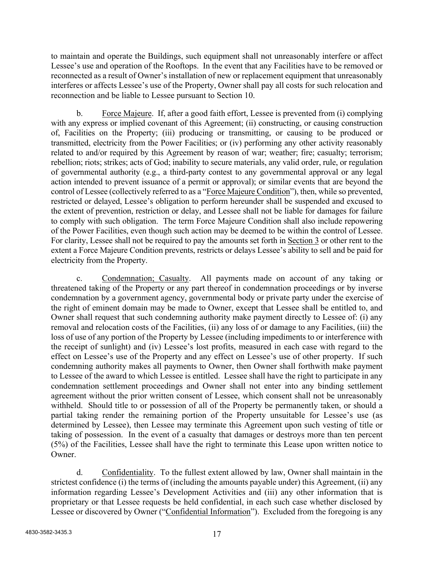to maintain and operate the Buildings, such equipment shall not unreasonably interfere or affect Lessee's use and operation of the Rooftops. In the event that any Facilities have to be removed or reconnected as a result of Owner's installation of new or replacement equipment that unreasonably interferes or affects Lessee's use of the Property, Owner shall pay all costs for such relocation and reconnection and be liable to Lessee pursuant to Section 10.

b. Force Majeure. If, after a good faith effort, Lessee is prevented from (i) complying with any express or implied covenant of this Agreement; (ii) constructing, or causing construction of, Facilities on the Property; (iii) producing or transmitting, or causing to be produced or transmitted, electricity from the Power Facilities; or (iv) performing any other activity reasonably related to and/or required by this Agreement by reason of war; weather; fire; casualty; terrorism; rebellion; riots; strikes; acts of God; inability to secure materials, any valid order, rule, or regulation of governmental authority (e.g., a third-party contest to any governmental approval or any legal action intended to prevent issuance of a permit or approval); or similar events that are beyond the control of Lessee (collectively referred to as a "Force Majeure Condition"), then, while so prevented, restricted or delayed, Lessee's obligation to perform hereunder shall be suspended and excused to the extent of prevention, restriction or delay, and Lessee shall not be liable for damages for failure to comply with such obligation. The term Force Majeure Condition shall also include repowering of the Power Facilities, even though such action may be deemed to be within the control of Lessee. For clarity, Lessee shall not be required to pay the amounts set forth in Section 3 or other rent to the extent a Force Majeure Condition prevents, restricts or delays Lessee's ability to sell and be paid for electricity from the Property.

c. Condemnation; Casualty. All payments made on account of any taking or threatened taking of the Property or any part thereof in condemnation proceedings or by inverse condemnation by a government agency, governmental body or private party under the exercise of the right of eminent domain may be made to Owner, except that Lessee shall be entitled to, and Owner shall request that such condemning authority make payment directly to Lessee of: (i) any removal and relocation costs of the Facilities, (ii) any loss of or damage to any Facilities, (iii) the loss of use of any portion of the Property by Lessee (including impediments to or interference with the receipt of sunlight) and (iv) Lessee's lost profits, measured in each case with regard to the effect on Lessee's use of the Property and any effect on Lessee's use of other property. If such condemning authority makes all payments to Owner, then Owner shall forthwith make payment to Lessee of the award to which Lessee is entitled. Lessee shall have the right to participate in any condemnation settlement proceedings and Owner shall not enter into any binding settlement agreement without the prior written consent of Lessee, which consent shall not be unreasonably withheld. Should title to or possession of all of the Property be permanently taken, or should a partial taking render the remaining portion of the Property unsuitable for Lessee's use (as determined by Lessee), then Lessee may terminate this Agreement upon such vesting of title or taking of possession. In the event of a casualty that damages or destroys more than ten percent (5%) of the Facilities, Lessee shall have the right to terminate this Lease upon written notice to Owner.

d. Confidentiality. To the fullest extent allowed by law, Owner shall maintain in the strictest confidence (i) the terms of (including the amounts payable under) this Agreement, (ii) any information regarding Lessee's Development Activities and (iii) any other information that is proprietary or that Lessee requests be held confidential, in each such case whether disclosed by Lessee or discovered by Owner ("Confidential Information"). Excluded from the foregoing is any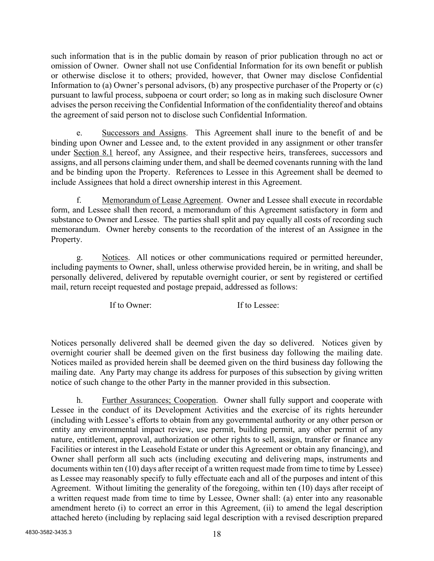such information that is in the public domain by reason of prior publication through no act or omission of Owner. Owner shall not use Confidential Information for its own benefit or publish or otherwise disclose it to others; provided, however, that Owner may disclose Confidential Information to (a) Owner's personal advisors, (b) any prospective purchaser of the Property or (c) pursuant to lawful process, subpoena or court order; so long as in making such disclosure Owner advises the person receiving the Confidential Information of the confidentiality thereof and obtains the agreement of said person not to disclose such Confidential Information.

e. Successors and Assigns. This Agreement shall inure to the benefit of and be binding upon Owner and Lessee and, to the extent provided in any assignment or other transfer under Section 8.1 hereof, any Assignee, and their respective heirs, transferees, successors and assigns, and all persons claiming under them, and shall be deemed covenants running with the land and be binding upon the Property. References to Lessee in this Agreement shall be deemed to include Assignees that hold a direct ownership interest in this Agreement.

f. Memorandum of Lease Agreement. Owner and Lessee shall execute in recordable form, and Lessee shall then record, a memorandum of this Agreement satisfactory in form and substance to Owner and Lessee. The parties shall split and pay equally all costs of recording such memorandum. Owner hereby consents to the recordation of the interest of an Assignee in the Property.

g. Notices. All notices or other communications required or permitted hereunder, including payments to Owner, shall, unless otherwise provided herein, be in writing, and shall be personally delivered, delivered by reputable overnight courier, or sent by registered or certified mail, return receipt requested and postage prepaid, addressed as follows:

If to Owner: If to Lessee:

Notices personally delivered shall be deemed given the day so delivered. Notices given by overnight courier shall be deemed given on the first business day following the mailing date. Notices mailed as provided herein shall be deemed given on the third business day following the mailing date. Any Party may change its address for purposes of this subsection by giving written notice of such change to the other Party in the manner provided in this subsection.

h. Further Assurances; Cooperation. Owner shall fully support and cooperate with Lessee in the conduct of its Development Activities and the exercise of its rights hereunder (including with Lessee's efforts to obtain from any governmental authority or any other person or entity any environmental impact review, use permit, building permit, any other permit of any nature, entitlement, approval, authorization or other rights to sell, assign, transfer or finance any Facilities or interest in the Leasehold Estate or under this Agreement or obtain any financing), and Owner shall perform all such acts (including executing and delivering maps, instruments and documents within ten (10) days after receipt of a written request made from time to time by Lessee) as Lessee may reasonably specify to fully effectuate each and all of the purposes and intent of this Agreement. Without limiting the generality of the foregoing, within ten (10) days after receipt of a written request made from time to time by Lessee, Owner shall: (a) enter into any reasonable amendment hereto (i) to correct an error in this Agreement, (ii) to amend the legal description attached hereto (including by replacing said legal description with a revised description prepared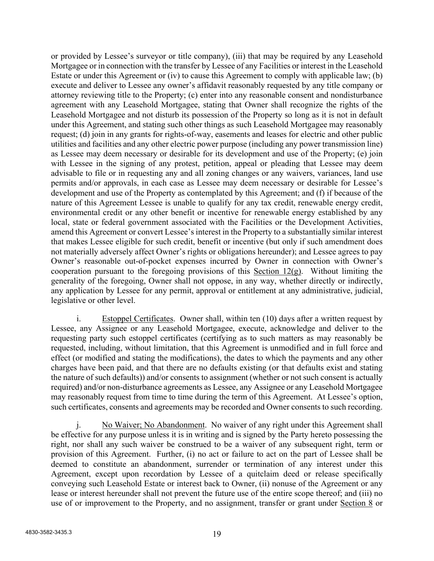or provided by Lessee's surveyor or title company), (iii) that may be required by any Leasehold Mortgagee or in connection with the transfer by Lessee of any Facilities or interest in the Leasehold Estate or under this Agreement or (iv) to cause this Agreement to comply with applicable law; (b) execute and deliver to Lessee any owner's affidavit reasonably requested by any title company or attorney reviewing title to the Property; (c) enter into any reasonable consent and nondisturbance agreement with any Leasehold Mortgagee, stating that Owner shall recognize the rights of the Leasehold Mortgagee and not disturb its possession of the Property so long as it is not in default under this Agreement, and stating such other things as such Leasehold Mortgagee may reasonably request; (d) join in any grants for rights-of-way, easements and leases for electric and other public utilities and facilities and any other electric power purpose (including any power transmission line) as Lessee may deem necessary or desirable for its development and use of the Property; (e) join with Lessee in the signing of any protest, petition, appeal or pleading that Lessee may deem advisable to file or in requesting any and all zoning changes or any waivers, variances, land use permits and/or approvals, in each case as Lessee may deem necessary or desirable for Lessee's development and use of the Property as contemplated by this Agreement; and (f) if because of the nature of this Agreement Lessee is unable to qualify for any tax credit, renewable energy credit, environmental credit or any other benefit or incentive for renewable energy established by any local, state or federal government associated with the Facilities or the Development Activities, amend this Agreement or convert Lessee's interest in the Property to a substantially similar interest that makes Lessee eligible for such credit, benefit or incentive (but only if such amendment does not materially adversely affect Owner's rights or obligations hereunder); and Lessee agrees to pay Owner's reasonable out-of-pocket expenses incurred by Owner in connection with Owner's cooperation pursuant to the foregoing provisions of this Section  $12(g)$ . Without limiting the generality of the foregoing, Owner shall not oppose, in any way, whether directly or indirectly, any application by Lessee for any permit, approval or entitlement at any administrative, judicial, legislative or other level.

i. Estoppel Certificates. Owner shall, within ten (10) days after a written request by Lessee, any Assignee or any Leasehold Mortgagee, execute, acknowledge and deliver to the requesting party such estoppel certificates (certifying as to such matters as may reasonably be requested, including, without limitation, that this Agreement is unmodified and in full force and effect (or modified and stating the modifications), the dates to which the payments and any other charges have been paid, and that there are no defaults existing (or that defaults exist and stating the nature of such defaults)) and/or consents to assignment (whether or not such consent is actually required) and/or non-disturbance agreements as Lessee, any Assignee or any Leasehold Mortgagee may reasonably request from time to time during the term of this Agreement. At Lessee's option, such certificates, consents and agreements may be recorded and Owner consents to such recording.

j. No Waiver; No Abandonment. No waiver of any right under this Agreement shall be effective for any purpose unless it is in writing and is signed by the Party hereto possessing the right, nor shall any such waiver be construed to be a waiver of any subsequent right, term or provision of this Agreement. Further, (i) no act or failure to act on the part of Lessee shall be deemed to constitute an abandonment, surrender or termination of any interest under this Agreement, except upon recordation by Lessee of a quitclaim deed or release specifically conveying such Leasehold Estate or interest back to Owner, (ii) nonuse of the Agreement or any lease or interest hereunder shall not prevent the future use of the entire scope thereof; and (iii) no use of or improvement to the Property, and no assignment, transfer or grant under Section 8 or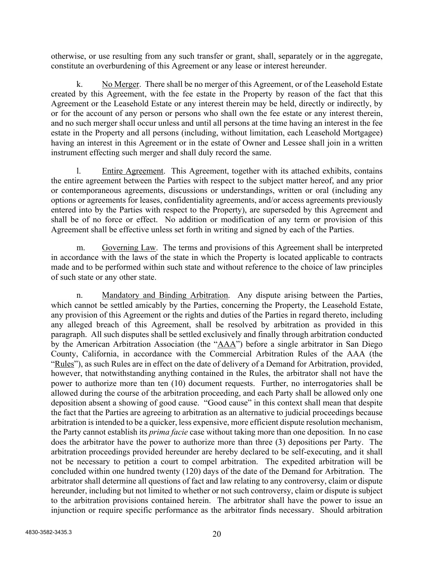otherwise, or use resulting from any such transfer or grant, shall, separately or in the aggregate, constitute an overburdening of this Agreement or any lease or interest hereunder.

k. No Merger. There shall be no merger of this Agreement, or of the Leasehold Estate created by this Agreement, with the fee estate in the Property by reason of the fact that this Agreement or the Leasehold Estate or any interest therein may be held, directly or indirectly, by or for the account of any person or persons who shall own the fee estate or any interest therein, and no such merger shall occur unless and until all persons at the time having an interest in the fee estate in the Property and all persons (including, without limitation, each Leasehold Mortgagee) having an interest in this Agreement or in the estate of Owner and Lessee shall join in a written instrument effecting such merger and shall duly record the same.

l. Entire Agreement. This Agreement, together with its attached exhibits, contains the entire agreement between the Parties with respect to the subject matter hereof, and any prior or contemporaneous agreements, discussions or understandings, written or oral (including any options or agreements for leases, confidentiality agreements, and/or access agreements previously entered into by the Parties with respect to the Property), are superseded by this Agreement and shall be of no force or effect. No addition or modification of any term or provision of this Agreement shall be effective unless set forth in writing and signed by each of the Parties.

m. Governing Law. The terms and provisions of this Agreement shall be interpreted in accordance with the laws of the state in which the Property is located applicable to contracts made and to be performed within such state and without reference to the choice of law principles of such state or any other state.

n. Mandatory and Binding Arbitration. Any dispute arising between the Parties, which cannot be settled amicably by the Parties, concerning the Property, the Leasehold Estate, any provision of this Agreement or the rights and duties of the Parties in regard thereto, including any alleged breach of this Agreement, shall be resolved by arbitration as provided in this paragraph. All such disputes shall be settled exclusively and finally through arbitration conducted by the American Arbitration Association (the "AAA") before a single arbitrator in San Diego County, California, in accordance with the Commercial Arbitration Rules of the AAA (the "Rules"), as such Rules are in effect on the date of delivery of a Demand for Arbitration, provided, however, that notwithstanding anything contained in the Rules, the arbitrator shall not have the power to authorize more than ten (10) document requests. Further, no interrogatories shall be allowed during the course of the arbitration proceeding, and each Party shall be allowed only one deposition absent a showing of good cause. "Good cause" in this context shall mean that despite the fact that the Parties are agreeing to arbitration as an alternative to judicial proceedings because arbitration is intended to be a quicker, less expensive, more efficient dispute resolution mechanism, the Party cannot establish its *prima facie* case without taking more than one deposition. In no case does the arbitrator have the power to authorize more than three (3) depositions per Party. The arbitration proceedings provided hereunder are hereby declared to be self-executing, and it shall not be necessary to petition a court to compel arbitration. The expedited arbitration will be concluded within one hundred twenty (120) days of the date of the Demand for Arbitration. The arbitrator shall determine all questions of fact and law relating to any controversy, claim or dispute hereunder, including but not limited to whether or not such controversy, claim or dispute is subject to the arbitration provisions contained herein. The arbitrator shall have the power to issue an injunction or require specific performance as the arbitrator finds necessary. Should arbitration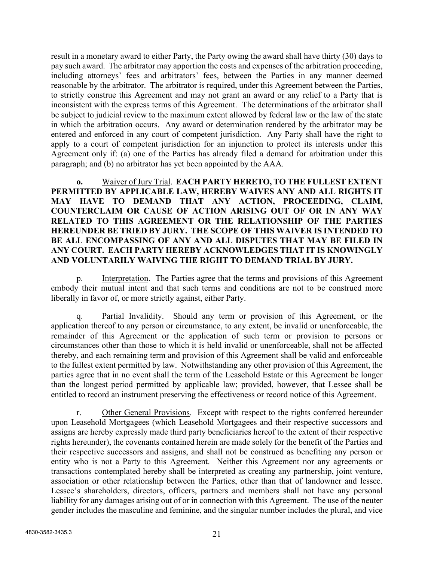result in a monetary award to either Party, the Party owing the award shall have thirty (30) days to pay such award. The arbitrator may apportion the costs and expenses of the arbitration proceeding, including attorneys' fees and arbitrators' fees, between the Parties in any manner deemed reasonable by the arbitrator. The arbitrator is required, under this Agreement between the Parties, to strictly construe this Agreement and may not grant an award or any relief to a Party that is inconsistent with the express terms of this Agreement. The determinations of the arbitrator shall be subject to judicial review to the maximum extent allowed by federal law or the law of the state in which the arbitration occurs. Any award or determination rendered by the arbitrator may be entered and enforced in any court of competent jurisdiction. Any Party shall have the right to apply to a court of competent jurisdiction for an injunction to protect its interests under this Agreement only if: (a) one of the Parties has already filed a demand for arbitration under this paragraph; and (b) no arbitrator has yet been appointed by the AAA.

**o.** Waiver of Jury Trial. **EACH PARTY HERETO, TO THE FULLEST EXTENT PERMITTED BY APPLICABLE LAW, HEREBY WAIVES ANY AND ALL RIGHTS IT MAY HAVE TO DEMAND THAT ANY ACTION, PROCEEDING, CLAIM, COUNTERCLAIM OR CAUSE OF ACTION ARISING OUT OF OR IN ANY WAY RELATED TO THIS AGREEMENT OR THE RELATIONSHIP OF THE PARTIES HEREUNDER BE TRIED BY JURY. THE SCOPE OF THIS WAIVER IS INTENDED TO BE ALL ENCOMPASSING OF ANY AND ALL DISPUTES THAT MAY BE FILED IN ANY COURT. EACH PARTY HEREBY ACKNOWLEDGES THAT IT IS KNOWINGLY AND VOLUNTARILY WAIVING THE RIGHT TO DEMAND TRIAL BY JURY.**

p. Interpretation. The Parties agree that the terms and provisions of this Agreement embody their mutual intent and that such terms and conditions are not to be construed more liberally in favor of, or more strictly against, either Party.

q. Partial Invalidity. Should any term or provision of this Agreement, or the application thereof to any person or circumstance, to any extent, be invalid or unenforceable, the remainder of this Agreement or the application of such term or provision to persons or circumstances other than those to which it is held invalid or unenforceable, shall not be affected thereby, and each remaining term and provision of this Agreement shall be valid and enforceable to the fullest extent permitted by law. Notwithstanding any other provision of this Agreement, the parties agree that in no event shall the term of the Leasehold Estate or this Agreement be longer than the longest period permitted by applicable law; provided, however, that Lessee shall be entitled to record an instrument preserving the effectiveness or record notice of this Agreement.

r. Other General Provisions. Except with respect to the rights conferred hereunder upon Leasehold Mortgagees (which Leasehold Mortgagees and their respective successors and assigns are hereby expressly made third party beneficiaries hereof to the extent of their respective rights hereunder), the covenants contained herein are made solely for the benefit of the Parties and their respective successors and assigns, and shall not be construed as benefiting any person or entity who is not a Party to this Agreement. Neither this Agreement nor any agreements or transactions contemplated hereby shall be interpreted as creating any partnership, joint venture, association or other relationship between the Parties, other than that of landowner and lessee. Lessee's shareholders, directors, officers, partners and members shall not have any personal liability for any damages arising out of or in connection with this Agreement. The use of the neuter gender includes the masculine and feminine, and the singular number includes the plural, and vice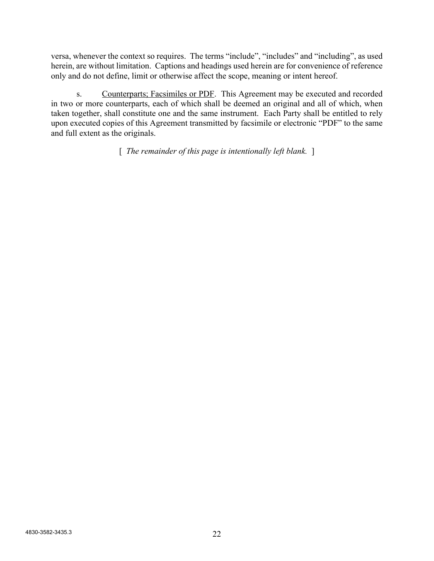versa, whenever the context so requires. The terms "include", "includes" and "including", as used herein, are without limitation. Captions and headings used herein are for convenience of reference only and do not define, limit or otherwise affect the scope, meaning or intent hereof.

s. Counterparts; Facsimiles or PDF. This Agreement may be executed and recorded in two or more counterparts, each of which shall be deemed an original and all of which, when taken together, shall constitute one and the same instrument. Each Party shall be entitled to rely upon executed copies of this Agreement transmitted by facsimile or electronic "PDF" to the same and full extent as the originals.

[ *The remainder of this page is intentionally left blank.* ]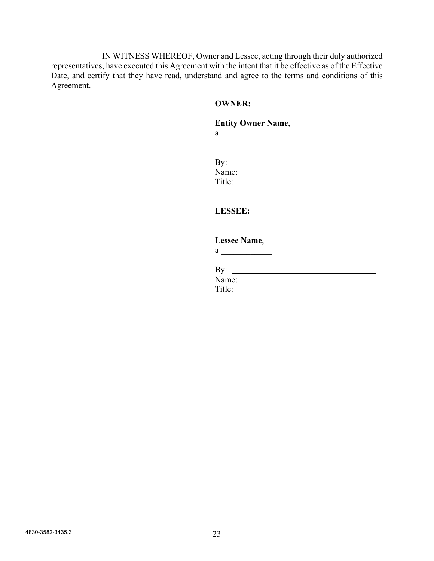IN WITNESS WHEREOF, Owner and Lessee, acting through their duly authorized representatives, have executed this Agreement with the intent that it be effective as of the Effective Date, and certify that they have read, understand and agree to the terms and conditions of this Agreement.

## **OWNER:**

# **Entity Owner Name**,

a  $\frac{1}{\sqrt{1-\frac{1}{2}}\cdot\frac{1}{2}}$ 

| By:    |  |  |
|--------|--|--|
| Name:  |  |  |
| Title: |  |  |

# **LESSEE:**

# **Lessee Name**,

 $a \overline{\qquad \qquad }$ 

| By:    |  |  |
|--------|--|--|
| Name:  |  |  |
| Title: |  |  |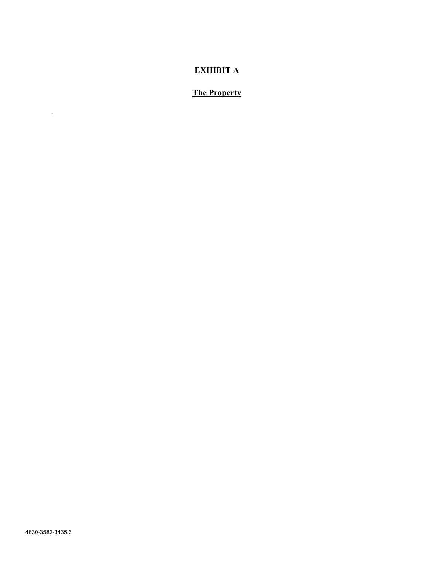# **EXHIBIT A**

# **The Property**

.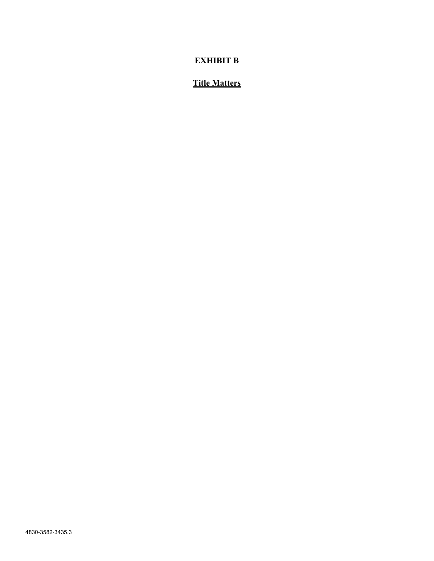# **EXHIBIT B**

# **Title Matters**